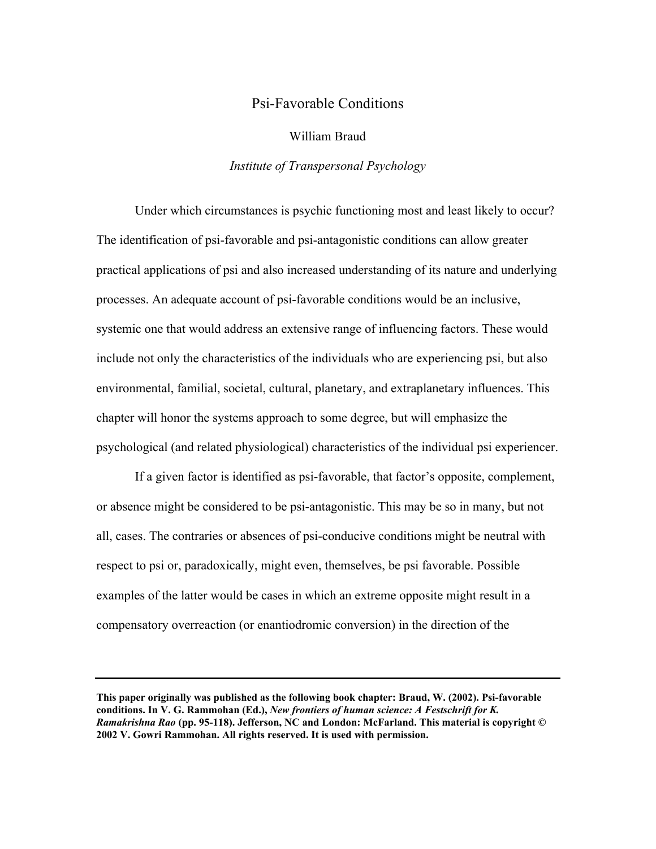# Psi-Favorable Conditions

## William Braud

## *Institute of Transpersonal Psychology*

Under which circumstances is psychic functioning most and least likely to occur? The identification of psi-favorable and psi-antagonistic conditions can allow greater practical applications of psi and also increased understanding of its nature and underlying processes. An adequate account of psi-favorable conditions would be an inclusive, systemic one that would address an extensive range of influencing factors. These would include not only the characteristics of the individuals who are experiencing psi, but also environmental, familial, societal, cultural, planetary, and extraplanetary influences. This chapter will honor the systems approach to some degree, but will emphasize the psychological (and related physiological) characteristics of the individual psi experiencer.

If a given factor is identified as psi-favorable, that factor's opposite, complement, or absence might be considered to be psi-antagonistic. This may be so in many, but not all, cases. The contraries or absences of psi-conducive conditions might be neutral with respect to psi or, paradoxically, might even, themselves, be psi favorable. Possible examples of the latter would be cases in which an extreme opposite might result in a compensatory overreaction (or enantiodromic conversion) in the direction of the

**This paper originally was published as the following book chapter: Braud, W. (2002). Psi-favorable conditions. In V. G. Rammohan (Ed.),** *New frontiers of human science: A Festschrift for K. Ramakrishna Rao* **(pp. 95-118). Jefferson, NC and London: McFarland. This material is copyright © 2002 V. Gowri Rammohan. All rights reserved. It is used with permission.**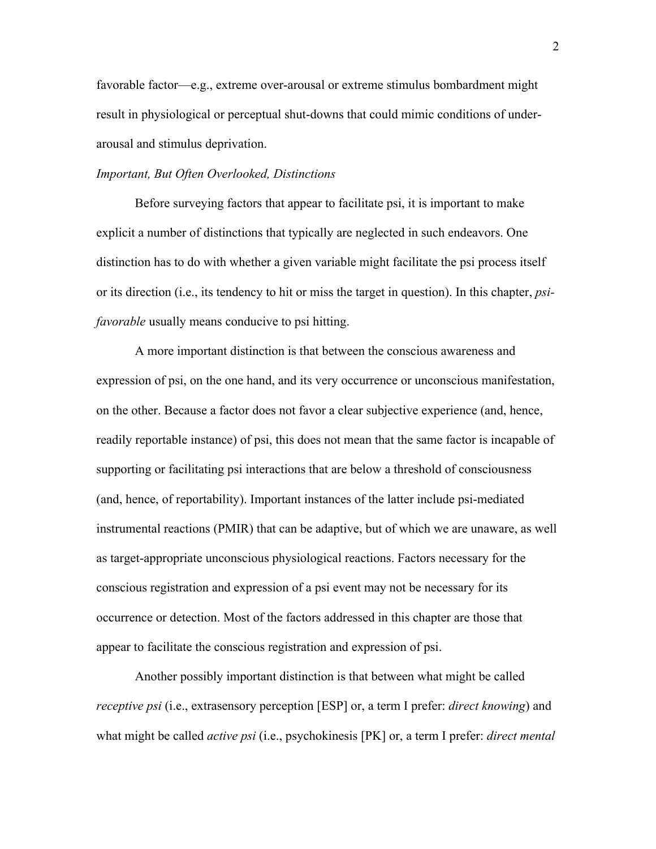favorable factor—e.g., extreme over-arousal or extreme stimulus bombardment might result in physiological or perceptual shut-downs that could mimic conditions of underarousal and stimulus deprivation.

## *Important, But Often Overlooked, Distinctions*

Before surveying factors that appear to facilitate psi, it is important to make explicit a number of distinctions that typically are neglected in such endeavors. One distinction has to do with whether a given variable might facilitate the psi process itself or its direction (i.e., its tendency to hit or miss the target in question). In this chapter, *psifavorable* usually means conducive to psi hitting.

A more important distinction is that between the conscious awareness and expression of psi, on the one hand, and its very occurrence or unconscious manifestation, on the other. Because a factor does not favor a clear subjective experience (and, hence, readily reportable instance) of psi, this does not mean that the same factor is incapable of supporting or facilitating psi interactions that are below a threshold of consciousness (and, hence, of reportability). Important instances of the latter include psi-mediated instrumental reactions (PMIR) that can be adaptive, but of which we are unaware, as well as target-appropriate unconscious physiological reactions. Factors necessary for the conscious registration and expression of a psi event may not be necessary for its occurrence or detection. Most of the factors addressed in this chapter are those that appear to facilitate the conscious registration and expression of psi.

Another possibly important distinction is that between what might be called *receptive psi* (i.e., extrasensory perception [ESP] or, a term I prefer: *direct knowing*) and what might be called *active psi* (i.e., psychokinesis [PK] or, a term I prefer: *direct mental*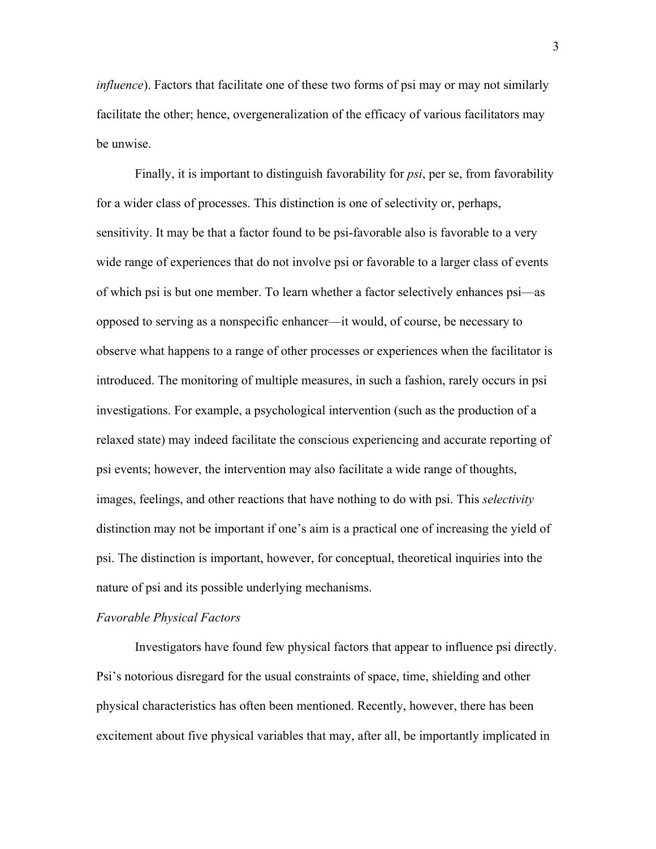*influence*). Factors that facilitate one of these two forms of psi may or may not similarly facilitate the other; hence, overgeneralization of the efficacy of various facilitators may be unwise.

Finally, it is important to distinguish favorability for *psi*, per se, from favorability for a wider class of processes. This distinction is one of selectivity or, perhaps, sensitivity. It may be that a factor found to be psi-favorable also is favorable to a very wide range of experiences that do not involve psi or favorable to a larger class of events of which psi is but one member. To learn whether a factor selectively enhances psi—as opposed to serving as a nonspecific enhancer—it would, of course, be necessary to observe what happens to a range of other processes or experiences when the facilitator is introduced. The monitoring of multiple measures, in such a fashion, rarely occurs in psi investigations. For example, a psychological intervention (such as the production of a relaxed state) may indeed facilitate the conscious experiencing and accurate reporting of psi events; however, the intervention may also facilitate a wide range of thoughts, images, feelings, and other reactions that have nothing to do with psi. This *selectivity* distinction may not be important if one's aim is a practical one of increasing the yield of psi. The distinction is important, however, for conceptual, theoretical inquiries into the nature of psi and its possible underlying mechanisms.

#### *Favorable Physical Factors*

Investigators have found few physical factors that appear to influence psi directly. Psi's notorious disregard for the usual constraints of space, time, shielding and other physical characteristics has often been mentioned. Recently, however, there has been excitement about five physical variables that may, after all, be importantly implicated in

3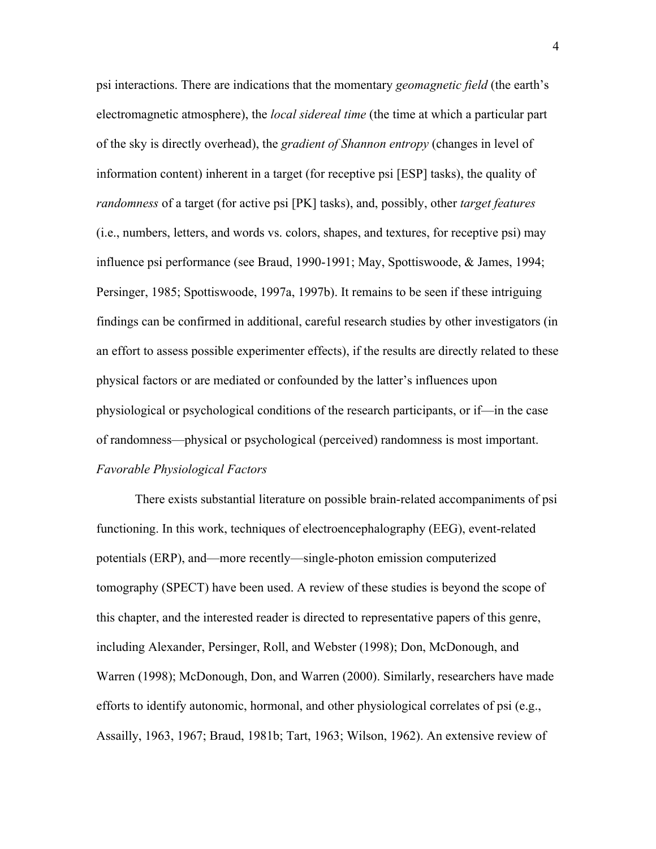psi interactions. There are indications that the momentary *geomagnetic field* (the earth's electromagnetic atmosphere), the *local sidereal time* (the time at which a particular part of the sky is directly overhead), the *gradient of Shannon entropy* (changes in level of information content) inherent in a target (for receptive psi [ESP] tasks), the quality of *randomness* of a target (for active psi [PK] tasks), and, possibly, other *target features* (i.e., numbers, letters, and words vs. colors, shapes, and textures, for receptive psi) may influence psi performance (see Braud, 1990-1991; May, Spottiswoode, & James, 1994; Persinger, 1985; Spottiswoode, 1997a, 1997b). It remains to be seen if these intriguing findings can be confirmed in additional, careful research studies by other investigators (in an effort to assess possible experimenter effects), if the results are directly related to these physical factors or are mediated or confounded by the latter's influences upon physiological or psychological conditions of the research participants, or if—in the case of randomness—physical or psychological (perceived) randomness is most important. *Favorable Physiological Factors*

There exists substantial literature on possible brain-related accompaniments of psi functioning. In this work, techniques of electroencephalography (EEG), event-related potentials (ERP), and—more recently—single-photon emission computerized tomography (SPECT) have been used. A review of these studies is beyond the scope of this chapter, and the interested reader is directed to representative papers of this genre, including Alexander, Persinger, Roll, and Webster (1998); Don, McDonough, and Warren (1998); McDonough, Don, and Warren (2000). Similarly, researchers have made efforts to identify autonomic, hormonal, and other physiological correlates of psi (e.g., Assailly, 1963, 1967; Braud, 1981b; Tart, 1963; Wilson, 1962). An extensive review of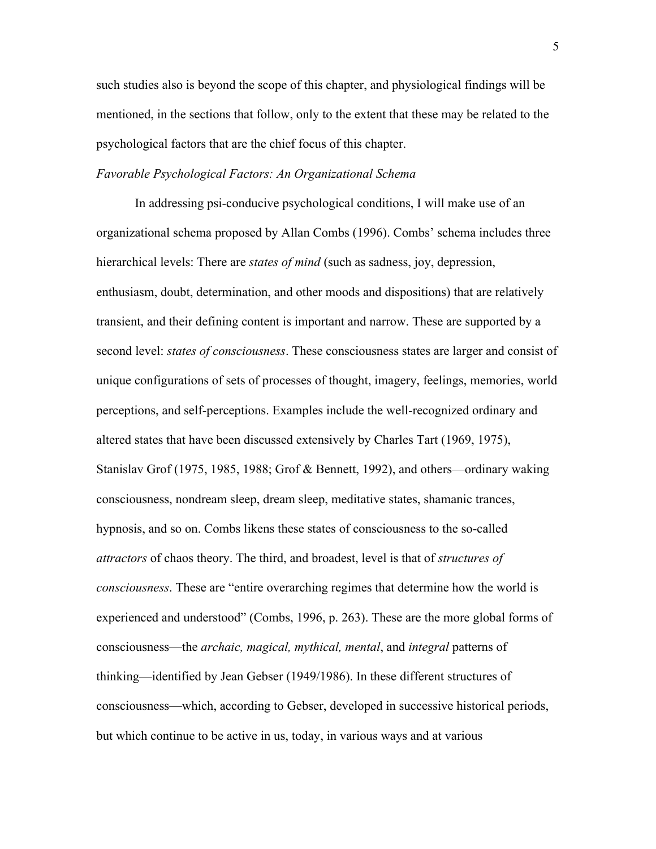such studies also is beyond the scope of this chapter, and physiological findings will be mentioned, in the sections that follow, only to the extent that these may be related to the psychological factors that are the chief focus of this chapter.

## *Favorable Psychological Factors: An Organizational Schema*

In addressing psi-conducive psychological conditions, I will make use of an organizational schema proposed by Allan Combs (1996). Combs' schema includes three hierarchical levels: There are *states of mind* (such as sadness, joy, depression, enthusiasm, doubt, determination, and other moods and dispositions) that are relatively transient, and their defining content is important and narrow. These are supported by a second level: *states of consciousness*. These consciousness states are larger and consist of unique configurations of sets of processes of thought, imagery, feelings, memories, world perceptions, and self-perceptions. Examples include the well-recognized ordinary and altered states that have been discussed extensively by Charles Tart (1969, 1975), Stanislav Grof (1975, 1985, 1988; Grof & Bennett, 1992), and others—ordinary waking consciousness, nondream sleep, dream sleep, meditative states, shamanic trances, hypnosis, and so on. Combs likens these states of consciousness to the so-called *attractors* of chaos theory. The third, and broadest, level is that of *structures of consciousness*. These are "entire overarching regimes that determine how the world is experienced and understood" (Combs, 1996, p. 263). These are the more global forms of consciousness—the *archaic, magical, mythical, mental*, and *integral* patterns of thinking—identified by Jean Gebser (1949/1986). In these different structures of consciousness—which, according to Gebser, developed in successive historical periods, but which continue to be active in us, today, in various ways and at various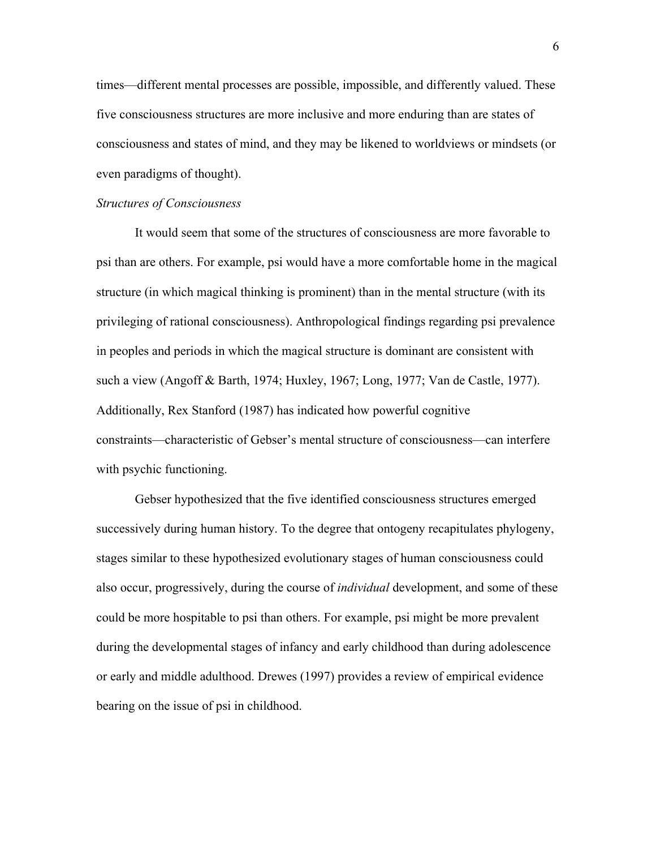times—different mental processes are possible, impossible, and differently valued. These five consciousness structures are more inclusive and more enduring than are states of consciousness and states of mind, and they may be likened to worldviews or mindsets (or even paradigms of thought).

## *Structures of Consciousness*

It would seem that some of the structures of consciousness are more favorable to psi than are others. For example, psi would have a more comfortable home in the magical structure (in which magical thinking is prominent) than in the mental structure (with its privileging of rational consciousness). Anthropological findings regarding psi prevalence in peoples and periods in which the magical structure is dominant are consistent with such a view (Angoff & Barth, 1974; Huxley, 1967; Long, 1977; Van de Castle, 1977). Additionally, Rex Stanford (1987) has indicated how powerful cognitive constraints—characteristic of Gebser's mental structure of consciousness—can interfere with psychic functioning.

Gebser hypothesized that the five identified consciousness structures emerged successively during human history. To the degree that ontogeny recapitulates phylogeny, stages similar to these hypothesized evolutionary stages of human consciousness could also occur, progressively, during the course of *individual* development, and some of these could be more hospitable to psi than others. For example, psi might be more prevalent during the developmental stages of infancy and early childhood than during adolescence or early and middle adulthood. Drewes (1997) provides a review of empirical evidence bearing on the issue of psi in childhood.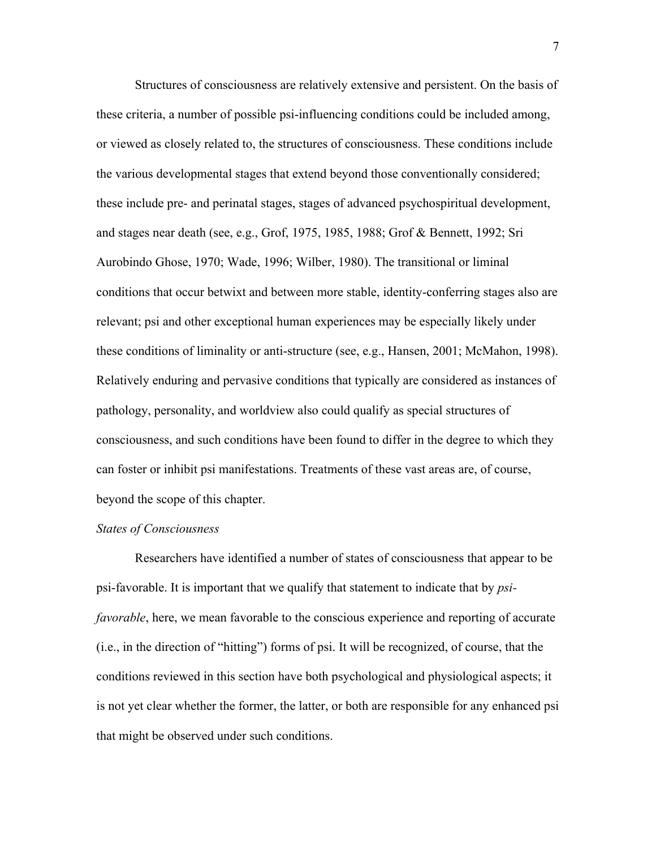Structures of consciousness are relatively extensive and persistent. On the basis of these criteria, a number of possible psi-influencing conditions could be included among, or viewed as closely related to, the structures of consciousness. These conditions include the various developmental stages that extend beyond those conventionally considered; these include pre- and perinatal stages, stages of advanced psychospiritual development, and stages near death (see, e.g., Grof, 1975, 1985, 1988; Grof & Bennett, 1992; Sri Aurobindo Ghose, 1970; Wade, 1996; Wilber, 1980). The transitional or liminal conditions that occur betwixt and between more stable, identity-conferring stages also are relevant; psi and other exceptional human experiences may be especially likely under these conditions of liminality or anti-structure (see, e.g., Hansen, 2001; McMahon, 1998). Relatively enduring and pervasive conditions that typically are considered as instances of pathology, personality, and worldview also could qualify as special structures of consciousness, and such conditions have been found to differ in the degree to which they can foster or inhibit psi manifestations. Treatments of these vast areas are, of course, beyond the scope of this chapter.

## *States of Consciousness*

Researchers have identified a number of states of consciousness that appear to be psi-favorable. It is important that we qualify that statement to indicate that by *psifavorable*, here, we mean favorable to the conscious experience and reporting of accurate (i.e., in the direction of "hitting") forms of psi. It will be recognized, of course, that the conditions reviewed in this section have both psychological and physiological aspects; it is not yet clear whether the former, the latter, or both are responsible for any enhanced psi that might be observed under such conditions.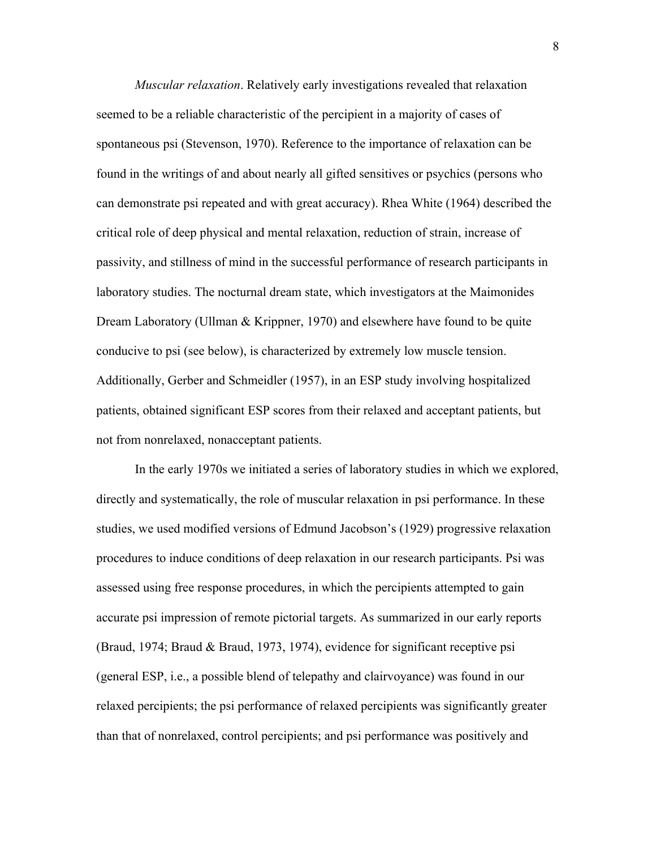*Muscular relaxation*. Relatively early investigations revealed that relaxation seemed to be a reliable characteristic of the percipient in a majority of cases of spontaneous psi (Stevenson, 1970). Reference to the importance of relaxation can be found in the writings of and about nearly all gifted sensitives or psychics (persons who can demonstrate psi repeated and with great accuracy). Rhea White (1964) described the critical role of deep physical and mental relaxation, reduction of strain, increase of passivity, and stillness of mind in the successful performance of research participants in laboratory studies. The nocturnal dream state, which investigators at the Maimonides Dream Laboratory (Ullman & Krippner, 1970) and elsewhere have found to be quite conducive to psi (see below), is characterized by extremely low muscle tension. Additionally, Gerber and Schmeidler (1957), in an ESP study involving hospitalized patients, obtained significant ESP scores from their relaxed and acceptant patients, but not from nonrelaxed, nonacceptant patients.

In the early 1970s we initiated a series of laboratory studies in which we explored, directly and systematically, the role of muscular relaxation in psi performance. In these studies, we used modified versions of Edmund Jacobson's (1929) progressive relaxation procedures to induce conditions of deep relaxation in our research participants. Psi was assessed using free response procedures, in which the percipients attempted to gain accurate psi impression of remote pictorial targets. As summarized in our early reports (Braud, 1974; Braud & Braud, 1973, 1974), evidence for significant receptive psi (general ESP, i.e., a possible blend of telepathy and clairvoyance) was found in our relaxed percipients; the psi performance of relaxed percipients was significantly greater than that of nonrelaxed, control percipients; and psi performance was positively and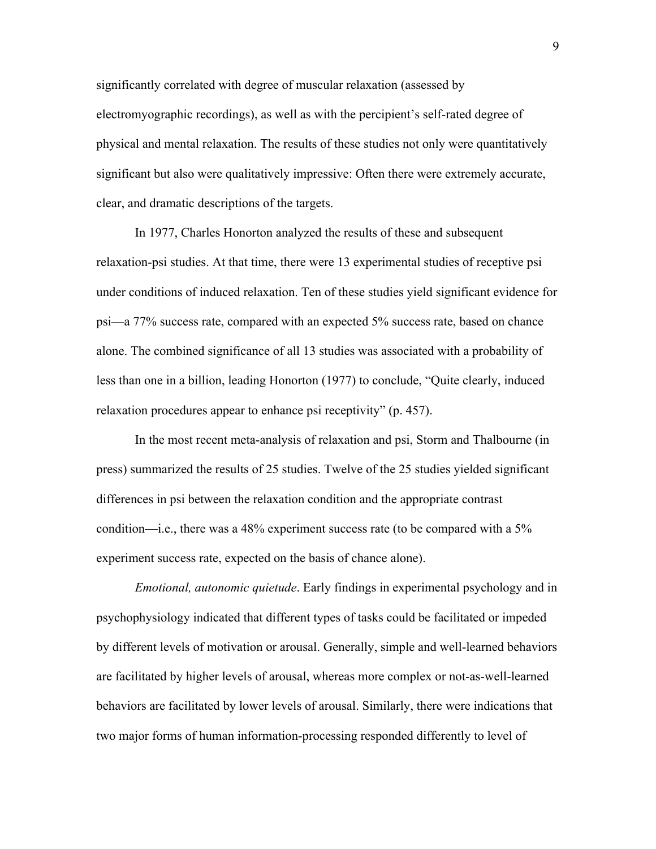significantly correlated with degree of muscular relaxation (assessed by electromyographic recordings), as well as with the percipient's self-rated degree of physical and mental relaxation. The results of these studies not only were quantitatively significant but also were qualitatively impressive: Often there were extremely accurate, clear, and dramatic descriptions of the targets.

In 1977, Charles Honorton analyzed the results of these and subsequent relaxation-psi studies. At that time, there were 13 experimental studies of receptive psi under conditions of induced relaxation. Ten of these studies yield significant evidence for psi—a 77% success rate, compared with an expected 5% success rate, based on chance alone. The combined significance of all 13 studies was associated with a probability of less than one in a billion, leading Honorton (1977) to conclude, "Quite clearly, induced relaxation procedures appear to enhance psi receptivity" (p. 457).

In the most recent meta-analysis of relaxation and psi, Storm and Thalbourne (in press) summarized the results of 25 studies. Twelve of the 25 studies yielded significant differences in psi between the relaxation condition and the appropriate contrast condition—i.e., there was a 48% experiment success rate (to be compared with a 5% experiment success rate, expected on the basis of chance alone).

*Emotional, autonomic quietude*. Early findings in experimental psychology and in psychophysiology indicated that different types of tasks could be facilitated or impeded by different levels of motivation or arousal. Generally, simple and well-learned behaviors are facilitated by higher levels of arousal, whereas more complex or not-as-well-learned behaviors are facilitated by lower levels of arousal. Similarly, there were indications that two major forms of human information-processing responded differently to level of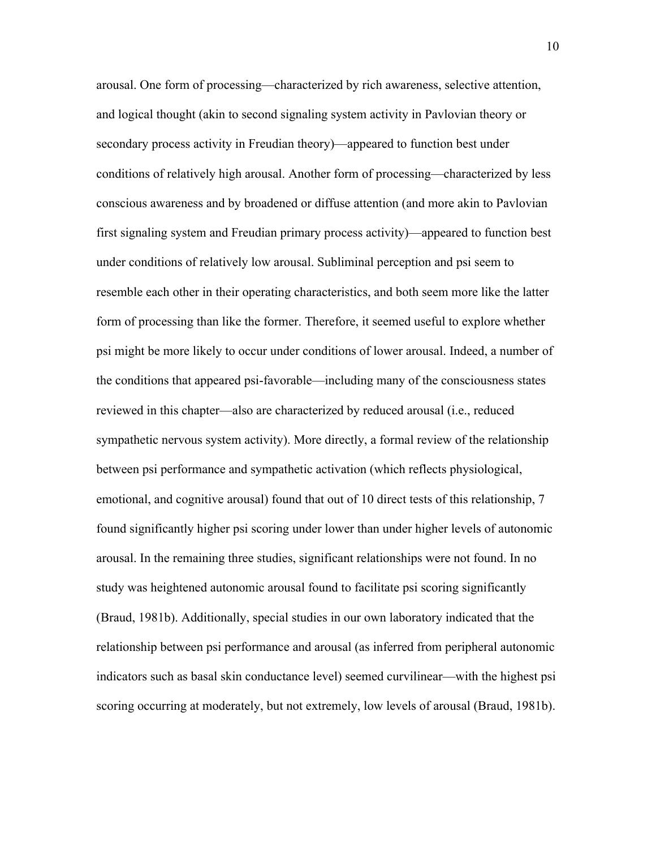arousal. One form of processing—characterized by rich awareness, selective attention, and logical thought (akin to second signaling system activity in Pavlovian theory or secondary process activity in Freudian theory)—appeared to function best under conditions of relatively high arousal. Another form of processing—characterized by less conscious awareness and by broadened or diffuse attention (and more akin to Pavlovian first signaling system and Freudian primary process activity)—appeared to function best under conditions of relatively low arousal. Subliminal perception and psi seem to resemble each other in their operating characteristics, and both seem more like the latter form of processing than like the former. Therefore, it seemed useful to explore whether psi might be more likely to occur under conditions of lower arousal. Indeed, a number of the conditions that appeared psi-favorable—including many of the consciousness states reviewed in this chapter—also are characterized by reduced arousal (i.e., reduced sympathetic nervous system activity). More directly, a formal review of the relationship between psi performance and sympathetic activation (which reflects physiological, emotional, and cognitive arousal) found that out of 10 direct tests of this relationship, 7 found significantly higher psi scoring under lower than under higher levels of autonomic arousal. In the remaining three studies, significant relationships were not found. In no study was heightened autonomic arousal found to facilitate psi scoring significantly (Braud, 1981b). Additionally, special studies in our own laboratory indicated that the relationship between psi performance and arousal (as inferred from peripheral autonomic indicators such as basal skin conductance level) seemed curvilinear—with the highest psi scoring occurring at moderately, but not extremely, low levels of arousal (Braud, 1981b).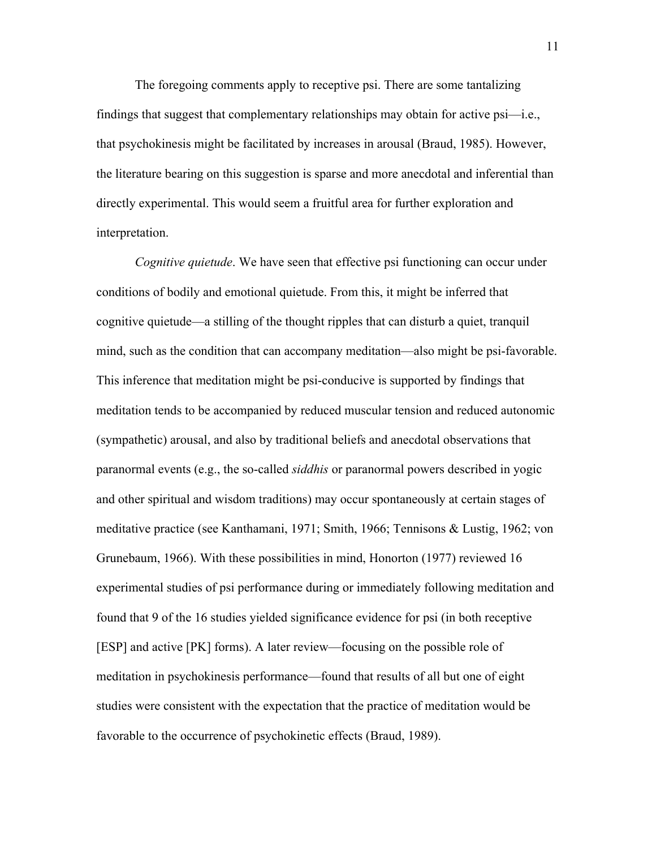The foregoing comments apply to receptive psi. There are some tantalizing findings that suggest that complementary relationships may obtain for active psi—i.e., that psychokinesis might be facilitated by increases in arousal (Braud, 1985). However, the literature bearing on this suggestion is sparse and more anecdotal and inferential than directly experimental. This would seem a fruitful area for further exploration and interpretation.

*Cognitive quietude*. We have seen that effective psi functioning can occur under conditions of bodily and emotional quietude. From this, it might be inferred that cognitive quietude—a stilling of the thought ripples that can disturb a quiet, tranquil mind, such as the condition that can accompany meditation—also might be psi-favorable. This inference that meditation might be psi-conducive is supported by findings that meditation tends to be accompanied by reduced muscular tension and reduced autonomic (sympathetic) arousal, and also by traditional beliefs and anecdotal observations that paranormal events (e.g., the so-called *siddhis* or paranormal powers described in yogic and other spiritual and wisdom traditions) may occur spontaneously at certain stages of meditative practice (see Kanthamani, 1971; Smith, 1966; Tennisons & Lustig, 1962; von Grunebaum, 1966). With these possibilities in mind, Honorton (1977) reviewed 16 experimental studies of psi performance during or immediately following meditation and found that 9 of the 16 studies yielded significance evidence for psi (in both receptive [ESP] and active [PK] forms). A later review—focusing on the possible role of meditation in psychokinesis performance—found that results of all but one of eight studies were consistent with the expectation that the practice of meditation would be favorable to the occurrence of psychokinetic effects (Braud, 1989).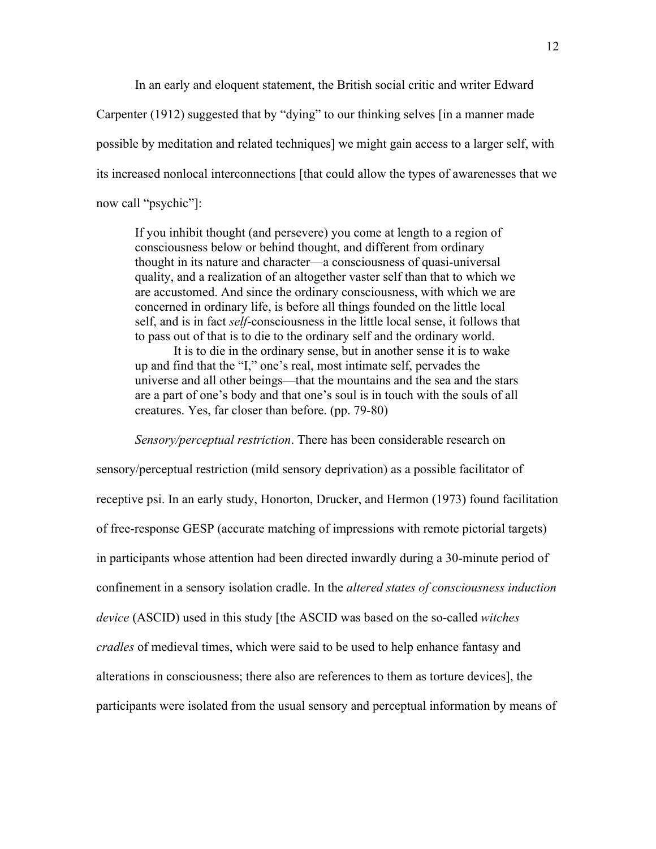In an early and eloquent statement, the British social critic and writer Edward Carpenter (1912) suggested that by "dying" to our thinking selves [in a manner made possible by meditation and related techniques] we might gain access to a larger self, with its increased nonlocal interconnections [that could allow the types of awarenesses that we now call "psychic"]:

If you inhibit thought (and persevere) you come at length to a region of consciousness below or behind thought, and different from ordinary thought in its nature and character—a consciousness of quasi-universal quality, and a realization of an altogether vaster self than that to which we are accustomed. And since the ordinary consciousness, with which we are concerned in ordinary life, is before all things founded on the little local self, and is in fact *self*-consciousness in the little local sense, it follows that to pass out of that is to die to the ordinary self and the ordinary world.

It is to die in the ordinary sense, but in another sense it is to wake up and find that the "I," one's real, most intimate self, pervades the universe and all other beings—that the mountains and the sea and the stars are a part of one's body and that one's soul is in touch with the souls of all creatures. Yes, far closer than before. (pp. 79-80)

#### *Sensory/perceptual restriction*. There has been considerable research on

sensory/perceptual restriction (mild sensory deprivation) as a possible facilitator of receptive psi. In an early study, Honorton, Drucker, and Hermon (1973) found facilitation of free-response GESP (accurate matching of impressions with remote pictorial targets) in participants whose attention had been directed inwardly during a 30-minute period of confinement in a sensory isolation cradle. In the *altered states of consciousness induction device* (ASCID) used in this study [the ASCID was based on the so-called *witches cradles* of medieval times, which were said to be used to help enhance fantasy and alterations in consciousness; there also are references to them as torture devices], the participants were isolated from the usual sensory and perceptual information by means of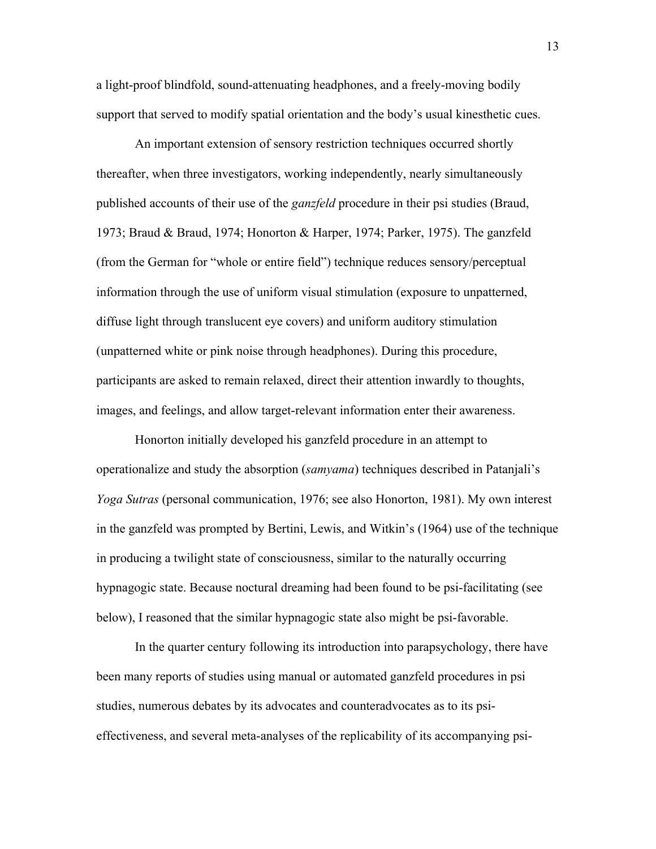a light-proof blindfold, sound-attenuating headphones, and a freely-moving bodily support that served to modify spatial orientation and the body's usual kinesthetic cues.

An important extension of sensory restriction techniques occurred shortly thereafter, when three investigators, working independently, nearly simultaneously published accounts of their use of the *ganzfeld* procedure in their psi studies (Braud, 1973; Braud & Braud, 1974; Honorton & Harper, 1974; Parker, 1975). The ganzfeld (from the German for "whole or entire field") technique reduces sensory/perceptual information through the use of uniform visual stimulation (exposure to unpatterned, diffuse light through translucent eye covers) and uniform auditory stimulation (unpatterned white or pink noise through headphones). During this procedure, participants are asked to remain relaxed, direct their attention inwardly to thoughts, images, and feelings, and allow target-relevant information enter their awareness.

Honorton initially developed his ganzfeld procedure in an attempt to operationalize and study the absorption (*samyama*) techniques described in Patanjali's *Yoga Sutras* (personal communication, 1976; see also Honorton, 1981). My own interest in the ganzfeld was prompted by Bertini, Lewis, and Witkin's (1964) use of the technique in producing a twilight state of consciousness, similar to the naturally occurring hypnagogic state. Because noctural dreaming had been found to be psi-facilitating (see below), I reasoned that the similar hypnagogic state also might be psi-favorable.

In the quarter century following its introduction into parapsychology, there have been many reports of studies using manual or automated ganzfeld procedures in psi studies, numerous debates by its advocates and counteradvocates as to its psieffectiveness, and several meta-analyses of the replicability of its accompanying psi-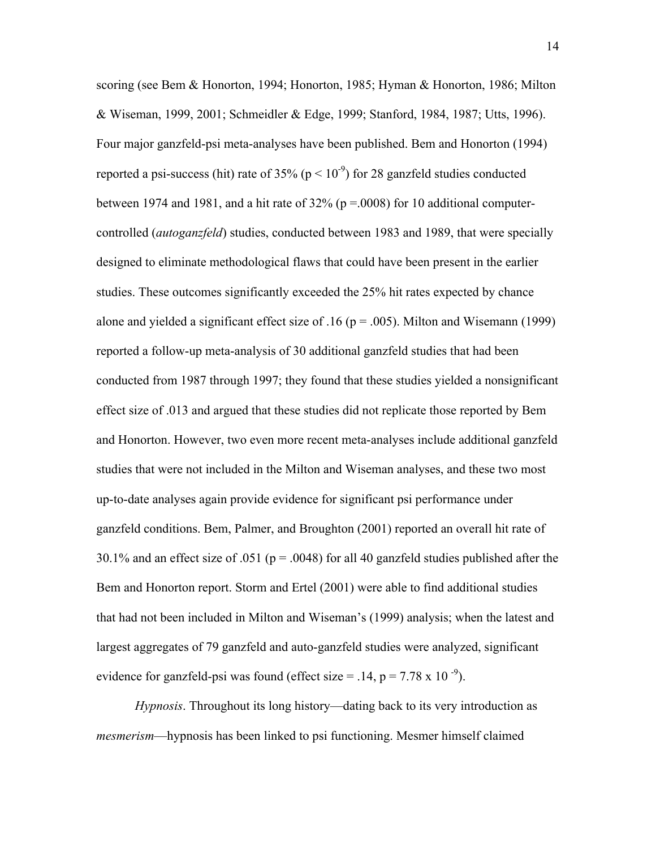scoring (see Bem & Honorton, 1994; Honorton, 1985; Hyman & Honorton, 1986; Milton & Wiseman, 1999, 2001; Schmeidler & Edge, 1999; Stanford, 1984, 1987; Utts, 1996). Four major ganzfeld-psi meta-analyses have been published. Bem and Honorton (1994) reported a psi-success (hit) rate of 35% ( $p < 10^{-9}$ ) for 28 ganzfeld studies conducted between 1974 and 1981, and a hit rate of  $32\%$  (p = 0008) for 10 additional computercontrolled (*autoganzfeld*) studies, conducted between 1983 and 1989, that were specially designed to eliminate methodological flaws that could have been present in the earlier studies. These outcomes significantly exceeded the 25% hit rates expected by chance alone and yielded a significant effect size of .16 ( $p = .005$ ). Milton and Wisemann (1999) reported a follow-up meta-analysis of 30 additional ganzfeld studies that had been conducted from 1987 through 1997; they found that these studies yielded a nonsignificant effect size of .013 and argued that these studies did not replicate those reported by Bem and Honorton. However, two even more recent meta-analyses include additional ganzfeld studies that were not included in the Milton and Wiseman analyses, and these two most up-to-date analyses again provide evidence for significant psi performance under ganzfeld conditions. Bem, Palmer, and Broughton (2001) reported an overall hit rate of 30.1% and an effect size of .051 ( $p = .0048$ ) for all 40 ganzfeld studies published after the Bem and Honorton report. Storm and Ertel (2001) were able to find additional studies that had not been included in Milton and Wiseman's (1999) analysis; when the latest and largest aggregates of 79 ganzfeld and auto-ganzfeld studies were analyzed, significant evidence for ganzfeld-psi was found (effect size  $=$  .14, p  $=$  7.78 x 10<sup>-9</sup>).

*Hypnosis*. Throughout its long history—dating back to its very introduction as *mesmerism*—hypnosis has been linked to psi functioning. Mesmer himself claimed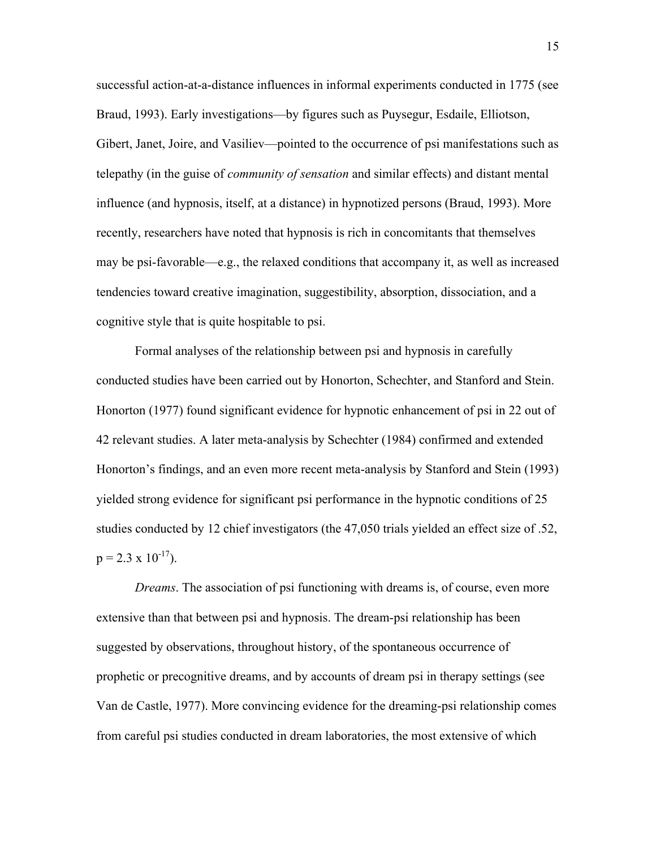successful action-at-a-distance influences in informal experiments conducted in 1775 (see Braud, 1993). Early investigations—by figures such as Puysegur, Esdaile, Elliotson, Gibert, Janet, Joire, and Vasiliev—pointed to the occurrence of psi manifestations such as telepathy (in the guise of *community of sensation* and similar effects) and distant mental influence (and hypnosis, itself, at a distance) in hypnotized persons (Braud, 1993). More recently, researchers have noted that hypnosis is rich in concomitants that themselves may be psi-favorable—e.g., the relaxed conditions that accompany it, as well as increased tendencies toward creative imagination, suggestibility, absorption, dissociation, and a cognitive style that is quite hospitable to psi.

Formal analyses of the relationship between psi and hypnosis in carefully conducted studies have been carried out by Honorton, Schechter, and Stanford and Stein. Honorton (1977) found significant evidence for hypnotic enhancement of psi in 22 out of 42 relevant studies. A later meta-analysis by Schechter (1984) confirmed and extended Honorton's findings, and an even more recent meta-analysis by Stanford and Stein (1993) yielded strong evidence for significant psi performance in the hypnotic conditions of 25 studies conducted by 12 chief investigators (the 47,050 trials yielded an effect size of .52,  $p = 2.3 \times 10^{-17}$ ).

*Dreams*. The association of psi functioning with dreams is, of course, even more extensive than that between psi and hypnosis. The dream-psi relationship has been suggested by observations, throughout history, of the spontaneous occurrence of prophetic or precognitive dreams, and by accounts of dream psi in therapy settings (see Van de Castle, 1977). More convincing evidence for the dreaming-psi relationship comes from careful psi studies conducted in dream laboratories, the most extensive of which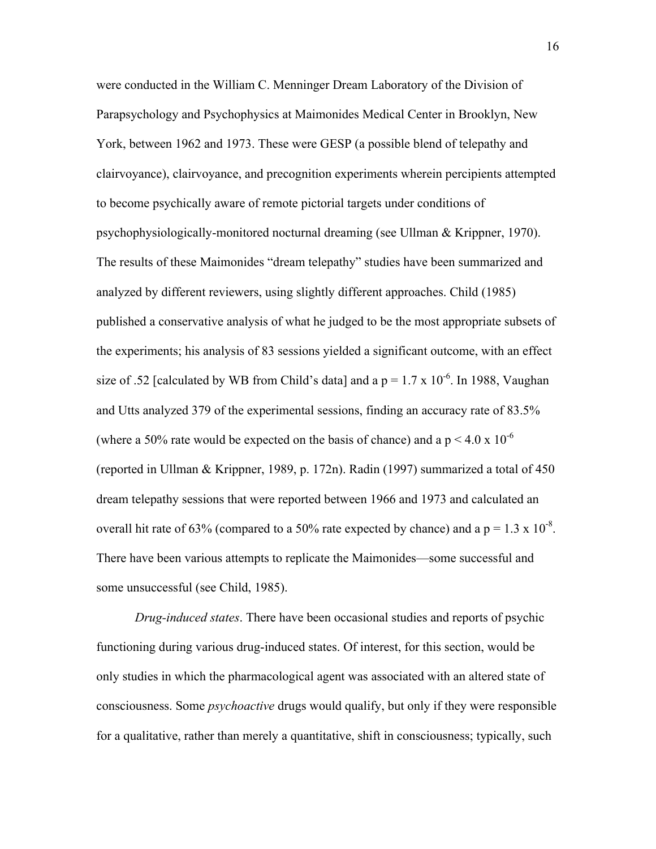were conducted in the William C. Menninger Dream Laboratory of the Division of Parapsychology and Psychophysics at Maimonides Medical Center in Brooklyn, New York, between 1962 and 1973. These were GESP (a possible blend of telepathy and clairvoyance), clairvoyance, and precognition experiments wherein percipients attempted to become psychically aware of remote pictorial targets under conditions of psychophysiologically-monitored nocturnal dreaming (see Ullman & Krippner, 1970). The results of these Maimonides "dream telepathy" studies have been summarized and analyzed by different reviewers, using slightly different approaches. Child (1985) published a conservative analysis of what he judged to be the most appropriate subsets of the experiments; his analysis of 83 sessions yielded a significant outcome, with an effect size of .52 [calculated by WB from Child's data] and a  $p = 1.7 \times 10^{-6}$ . In 1988, Vaughan and Utts analyzed 379 of the experimental sessions, finding an accuracy rate of 83.5% (where a 50% rate would be expected on the basis of chance) and a  $p < 4.0 \times 10^{-6}$ (reported in Ullman & Krippner, 1989, p. 172n). Radin (1997) summarized a total of 450 dream telepathy sessions that were reported between 1966 and 1973 and calculated an overall hit rate of 63% (compared to a 50% rate expected by chance) and a  $p = 1.3 \times 10^{-8}$ . There have been various attempts to replicate the Maimonides—some successful and some unsuccessful (see Child, 1985).

*Drug-induced states*. There have been occasional studies and reports of psychic functioning during various drug-induced states. Of interest, for this section, would be only studies in which the pharmacological agent was associated with an altered state of consciousness. Some *psychoactive* drugs would qualify, but only if they were responsible for a qualitative, rather than merely a quantitative, shift in consciousness; typically, such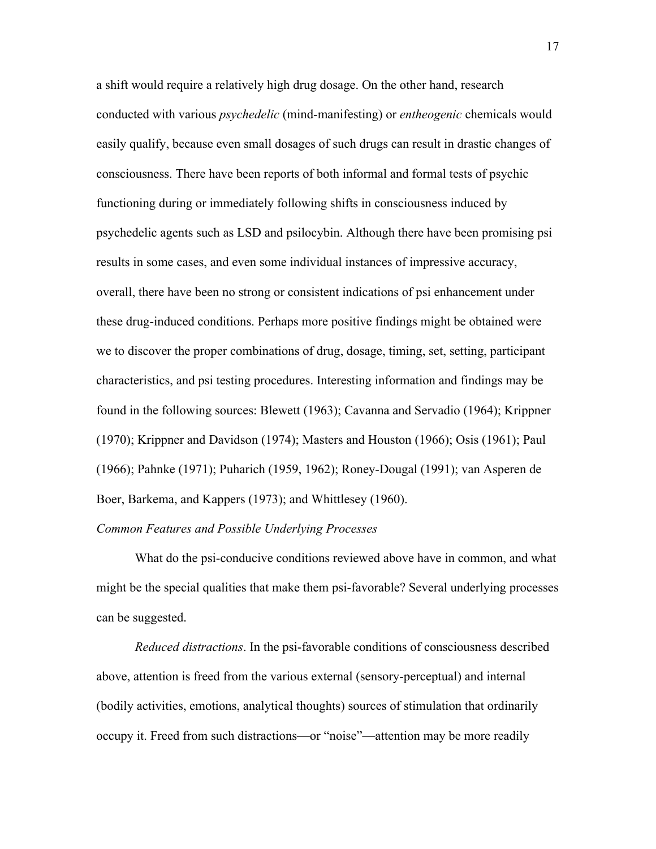a shift would require a relatively high drug dosage. On the other hand, research conducted with various *psychedelic* (mind-manifesting) or *entheogenic* chemicals would easily qualify, because even small dosages of such drugs can result in drastic changes of consciousness. There have been reports of both informal and formal tests of psychic functioning during or immediately following shifts in consciousness induced by psychedelic agents such as LSD and psilocybin. Although there have been promising psi results in some cases, and even some individual instances of impressive accuracy, overall, there have been no strong or consistent indications of psi enhancement under these drug-induced conditions. Perhaps more positive findings might be obtained were we to discover the proper combinations of drug, dosage, timing, set, setting, participant characteristics, and psi testing procedures. Interesting information and findings may be found in the following sources: Blewett (1963); Cavanna and Servadio (1964); Krippner (1970); Krippner and Davidson (1974); Masters and Houston (1966); Osis (1961); Paul (1966); Pahnke (1971); Puharich (1959, 1962); Roney-Dougal (1991); van Asperen de Boer, Barkema, and Kappers (1973); and Whittlesey (1960).

## *Common Features and Possible Underlying Processes*

What do the psi-conducive conditions reviewed above have in common, and what might be the special qualities that make them psi-favorable? Several underlying processes can be suggested.

*Reduced distractions*. In the psi-favorable conditions of consciousness described above, attention is freed from the various external (sensory-perceptual) and internal (bodily activities, emotions, analytical thoughts) sources of stimulation that ordinarily occupy it. Freed from such distractions—or "noise"—attention may be more readily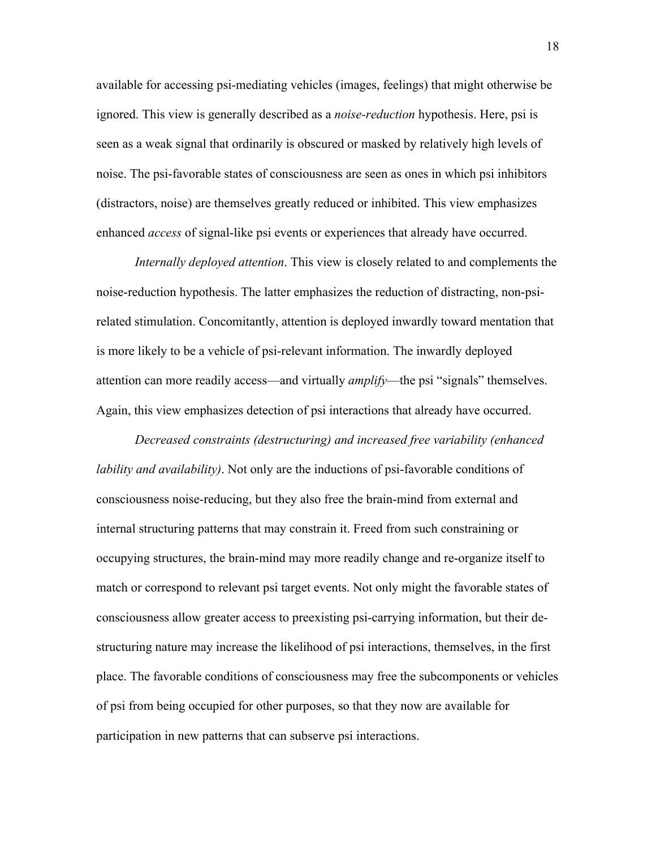available for accessing psi-mediating vehicles (images, feelings) that might otherwise be ignored. This view is generally described as a *noise-reduction* hypothesis. Here, psi is seen as a weak signal that ordinarily is obscured or masked by relatively high levels of noise. The psi-favorable states of consciousness are seen as ones in which psi inhibitors (distractors, noise) are themselves greatly reduced or inhibited. This view emphasizes enhanced *access* of signal-like psi events or experiences that already have occurred.

*Internally deployed attention*. This view is closely related to and complements the noise-reduction hypothesis. The latter emphasizes the reduction of distracting, non-psirelated stimulation. Concomitantly, attention is deployed inwardly toward mentation that is more likely to be a vehicle of psi-relevant information. The inwardly deployed attention can more readily access—and virtually *amplify*—the psi "signals" themselves. Again, this view emphasizes detection of psi interactions that already have occurred.

*Decreased constraints (destructuring) and increased free variability (enhanced lability and availability)*. Not only are the inductions of psi-favorable conditions of consciousness noise-reducing, but they also free the brain-mind from external and internal structuring patterns that may constrain it. Freed from such constraining or occupying structures, the brain-mind may more readily change and re-organize itself to match or correspond to relevant psi target events. Not only might the favorable states of consciousness allow greater access to preexisting psi-carrying information, but their destructuring nature may increase the likelihood of psi interactions, themselves, in the first place. The favorable conditions of consciousness may free the subcomponents or vehicles of psi from being occupied for other purposes, so that they now are available for participation in new patterns that can subserve psi interactions.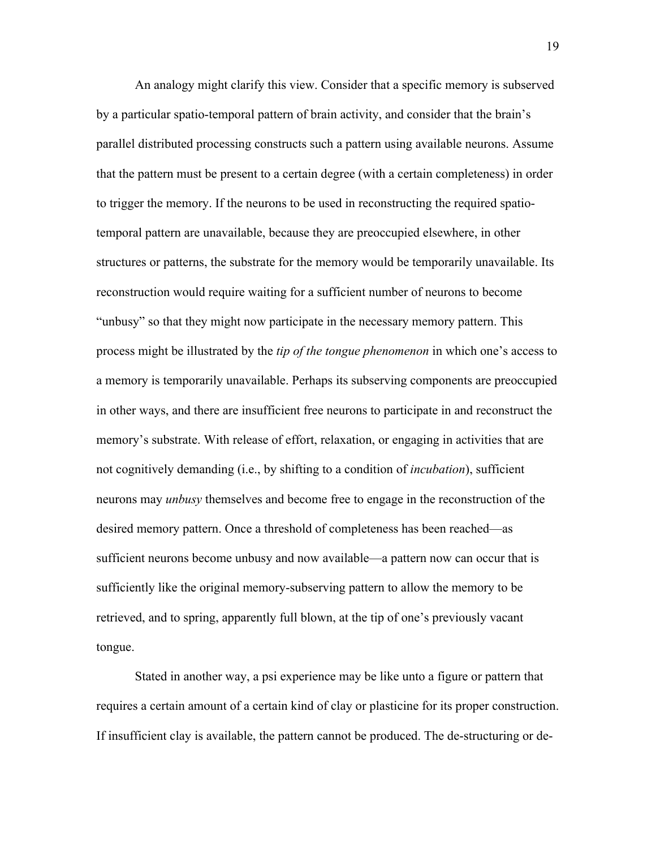An analogy might clarify this view. Consider that a specific memory is subserved by a particular spatio-temporal pattern of brain activity, and consider that the brain's parallel distributed processing constructs such a pattern using available neurons. Assume that the pattern must be present to a certain degree (with a certain completeness) in order to trigger the memory. If the neurons to be used in reconstructing the required spatiotemporal pattern are unavailable, because they are preoccupied elsewhere, in other structures or patterns, the substrate for the memory would be temporarily unavailable. Its reconstruction would require waiting for a sufficient number of neurons to become "unbusy" so that they might now participate in the necessary memory pattern. This process might be illustrated by the *tip of the tongue phenomenon* in which one's access to a memory is temporarily unavailable. Perhaps its subserving components are preoccupied in other ways, and there are insufficient free neurons to participate in and reconstruct the memory's substrate. With release of effort, relaxation, or engaging in activities that are not cognitively demanding (i.e., by shifting to a condition of *incubation*), sufficient neurons may *unbusy* themselves and become free to engage in the reconstruction of the desired memory pattern. Once a threshold of completeness has been reached—as sufficient neurons become unbusy and now available—a pattern now can occur that is sufficiently like the original memory-subserving pattern to allow the memory to be retrieved, and to spring, apparently full blown, at the tip of one's previously vacant tongue.

Stated in another way, a psi experience may be like unto a figure or pattern that requires a certain amount of a certain kind of clay or plasticine for its proper construction. If insufficient clay is available, the pattern cannot be produced. The de-structuring or de-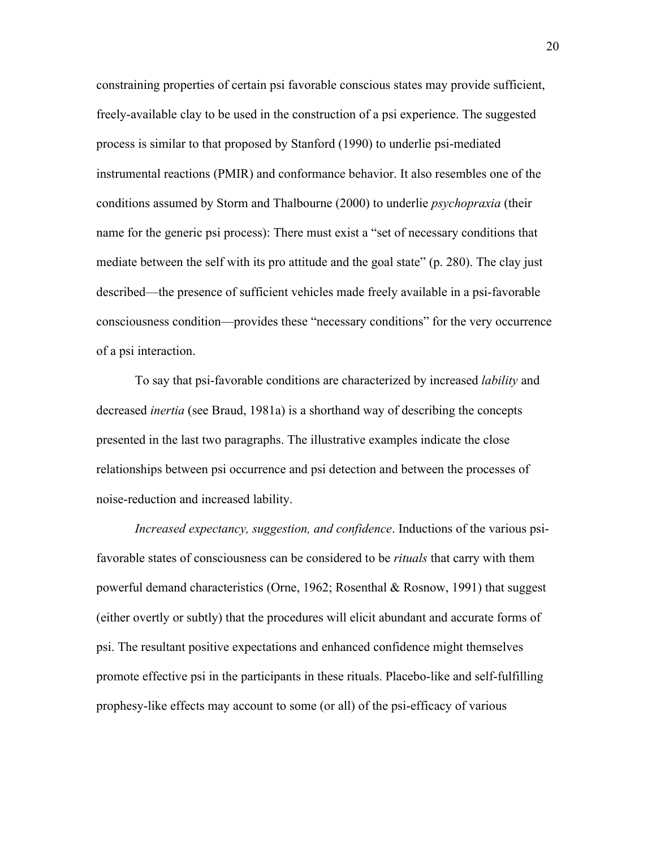constraining properties of certain psi favorable conscious states may provide sufficient, freely-available clay to be used in the construction of a psi experience. The suggested process is similar to that proposed by Stanford (1990) to underlie psi-mediated instrumental reactions (PMIR) and conformance behavior. It also resembles one of the conditions assumed by Storm and Thalbourne (2000) to underlie *psychopraxia* (their name for the generic psi process): There must exist a "set of necessary conditions that mediate between the self with its pro attitude and the goal state" (p. 280). The clay just described—the presence of sufficient vehicles made freely available in a psi-favorable consciousness condition—provides these "necessary conditions" for the very occurrence of a psi interaction.

To say that psi-favorable conditions are characterized by increased *lability* and decreased *inertia* (see Braud, 1981a) is a shorthand way of describing the concepts presented in the last two paragraphs. The illustrative examples indicate the close relationships between psi occurrence and psi detection and between the processes of noise-reduction and increased lability.

*Increased expectancy, suggestion, and confidence*. Inductions of the various psifavorable states of consciousness can be considered to be *rituals* that carry with them powerful demand characteristics (Orne, 1962; Rosenthal & Rosnow, 1991) that suggest (either overtly or subtly) that the procedures will elicit abundant and accurate forms of psi. The resultant positive expectations and enhanced confidence might themselves promote effective psi in the participants in these rituals. Placebo-like and self-fulfilling prophesy-like effects may account to some (or all) of the psi-efficacy of various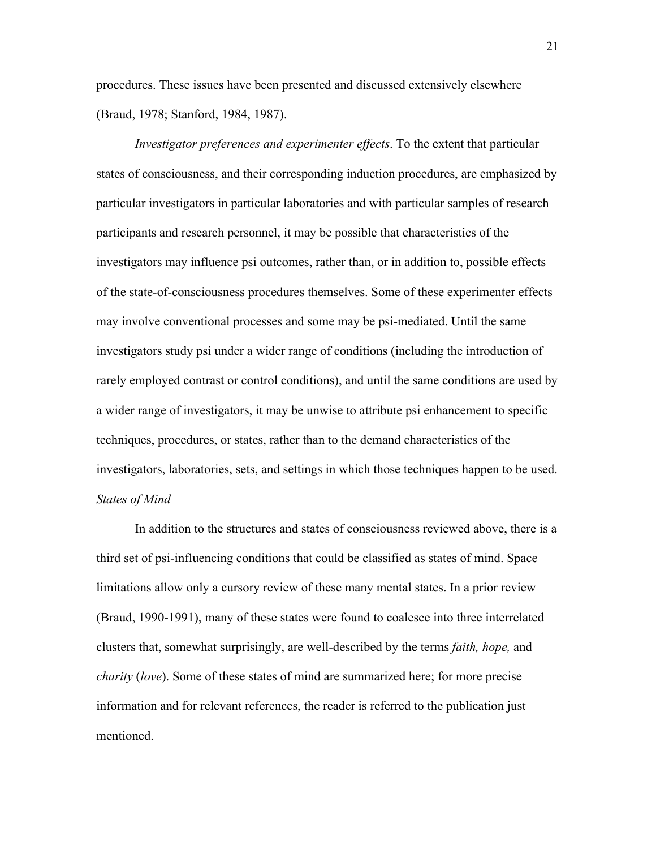procedures. These issues have been presented and discussed extensively elsewhere (Braud, 1978; Stanford, 1984, 1987).

*Investigator preferences and experimenter effects*. To the extent that particular states of consciousness, and their corresponding induction procedures, are emphasized by particular investigators in particular laboratories and with particular samples of research participants and research personnel, it may be possible that characteristics of the investigators may influence psi outcomes, rather than, or in addition to, possible effects of the state-of-consciousness procedures themselves. Some of these experimenter effects may involve conventional processes and some may be psi-mediated. Until the same investigators study psi under a wider range of conditions (including the introduction of rarely employed contrast or control conditions), and until the same conditions are used by a wider range of investigators, it may be unwise to attribute psi enhancement to specific techniques, procedures, or states, rather than to the demand characteristics of the investigators, laboratories, sets, and settings in which those techniques happen to be used. *States of Mind*

In addition to the structures and states of consciousness reviewed above, there is a third set of psi-influencing conditions that could be classified as states of mind. Space limitations allow only a cursory review of these many mental states. In a prior review (Braud, 1990-1991), many of these states were found to coalesce into three interrelated clusters that, somewhat surprisingly, are well-described by the terms *faith, hope,* and *charity* (*love*). Some of these states of mind are summarized here; for more precise information and for relevant references, the reader is referred to the publication just mentioned.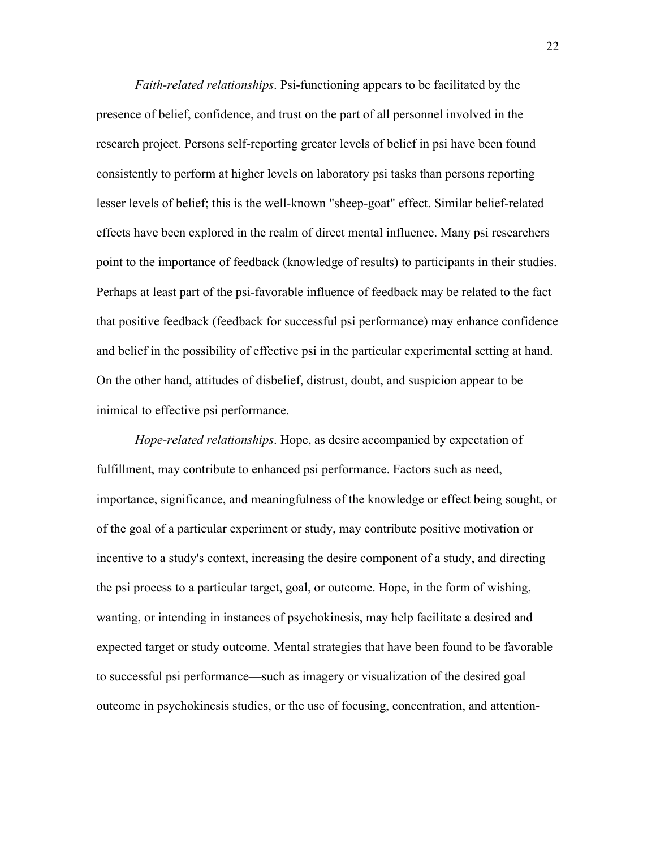*Faith-related relationships*. Psi-functioning appears to be facilitated by the presence of belief, confidence, and trust on the part of all personnel involved in the research project. Persons self-reporting greater levels of belief in psi have been found consistently to perform at higher levels on laboratory psi tasks than persons reporting lesser levels of belief; this is the well-known "sheep-goat" effect. Similar belief-related effects have been explored in the realm of direct mental influence. Many psi researchers point to the importance of feedback (knowledge of results) to participants in their studies. Perhaps at least part of the psi-favorable influence of feedback may be related to the fact that positive feedback (feedback for successful psi performance) may enhance confidence and belief in the possibility of effective psi in the particular experimental setting at hand. On the other hand, attitudes of disbelief, distrust, doubt, and suspicion appear to be inimical to effective psi performance.

*Hope-related relationships*. Hope, as desire accompanied by expectation of fulfillment, may contribute to enhanced psi performance. Factors such as need, importance, significance, and meaningfulness of the knowledge or effect being sought, or of the goal of a particular experiment or study, may contribute positive motivation or incentive to a study's context, increasing the desire component of a study, and directing the psi process to a particular target, goal, or outcome. Hope, in the form of wishing, wanting, or intending in instances of psychokinesis, may help facilitate a desired and expected target or study outcome. Mental strategies that have been found to be favorable to successful psi performance—such as imagery or visualization of the desired goal outcome in psychokinesis studies, or the use of focusing, concentration, and attention-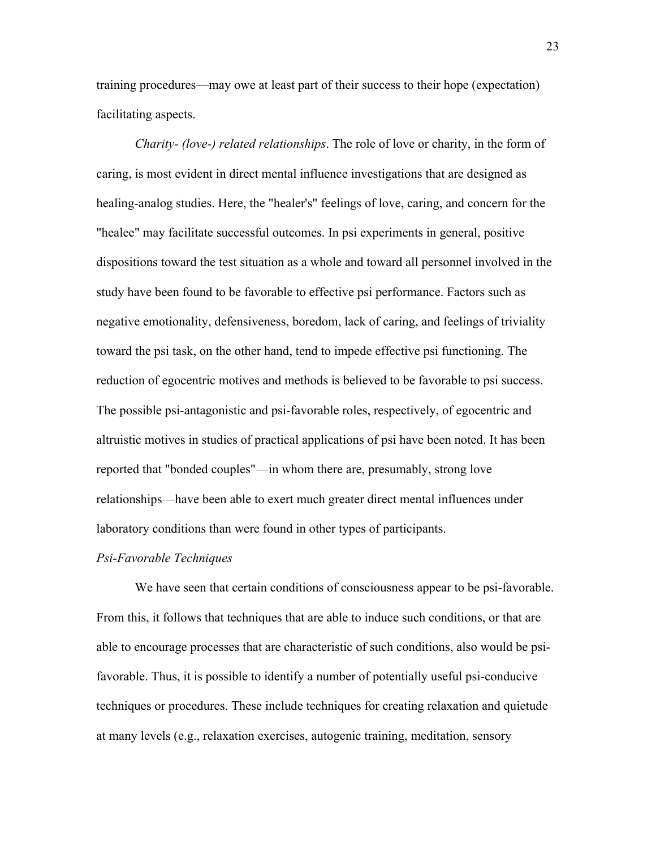training procedures—may owe at least part of their success to their hope (expectation) facilitating aspects.

*Charity- (love-) related relationships*. The role of love or charity, in the form of caring, is most evident in direct mental influence investigations that are designed as healing-analog studies. Here, the "healer's" feelings of love, caring, and concern for the "healee" may facilitate successful outcomes. In psi experiments in general, positive dispositions toward the test situation as a whole and toward all personnel involved in the study have been found to be favorable to effective psi performance. Factors such as negative emotionality, defensiveness, boredom, lack of caring, and feelings of triviality toward the psi task, on the other hand, tend to impede effective psi functioning. The reduction of egocentric motives and methods is believed to be favorable to psi success. The possible psi-antagonistic and psi-favorable roles, respectively, of egocentric and altruistic motives in studies of practical applications of psi have been noted. It has been reported that "bonded couples"—in whom there are, presumably, strong love relationships—have been able to exert much greater direct mental influences under laboratory conditions than were found in other types of participants.

#### *Psi-Favorable Techniques*

We have seen that certain conditions of consciousness appear to be psi-favorable. From this, it follows that techniques that are able to induce such conditions, or that are able to encourage processes that are characteristic of such conditions, also would be psifavorable. Thus, it is possible to identify a number of potentially useful psi-conducive techniques or procedures. These include techniques for creating relaxation and quietude at many levels (e.g., relaxation exercises, autogenic training, meditation, sensory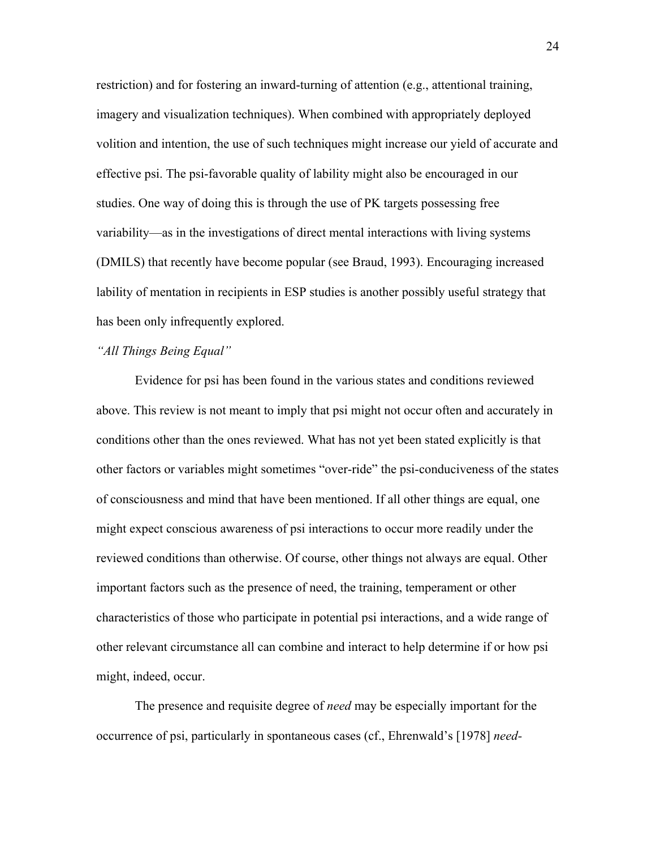restriction) and for fostering an inward-turning of attention (e.g., attentional training, imagery and visualization techniques). When combined with appropriately deployed volition and intention, the use of such techniques might increase our yield of accurate and effective psi. The psi-favorable quality of lability might also be encouraged in our studies. One way of doing this is through the use of PK targets possessing free variability—as in the investigations of direct mental interactions with living systems (DMILS) that recently have become popular (see Braud, 1993). Encouraging increased lability of mentation in recipients in ESP studies is another possibly useful strategy that has been only infrequently explored.

## *"All Things Being Equal"*

Evidence for psi has been found in the various states and conditions reviewed above. This review is not meant to imply that psi might not occur often and accurately in conditions other than the ones reviewed. What has not yet been stated explicitly is that other factors or variables might sometimes "over-ride" the psi-conduciveness of the states of consciousness and mind that have been mentioned. If all other things are equal, one might expect conscious awareness of psi interactions to occur more readily under the reviewed conditions than otherwise. Of course, other things not always are equal. Other important factors such as the presence of need, the training, temperament or other characteristics of those who participate in potential psi interactions, and a wide range of other relevant circumstance all can combine and interact to help determine if or how psi might, indeed, occur.

The presence and requisite degree of *need* may be especially important for the occurrence of psi, particularly in spontaneous cases (cf., Ehrenwald's [1978] *need-*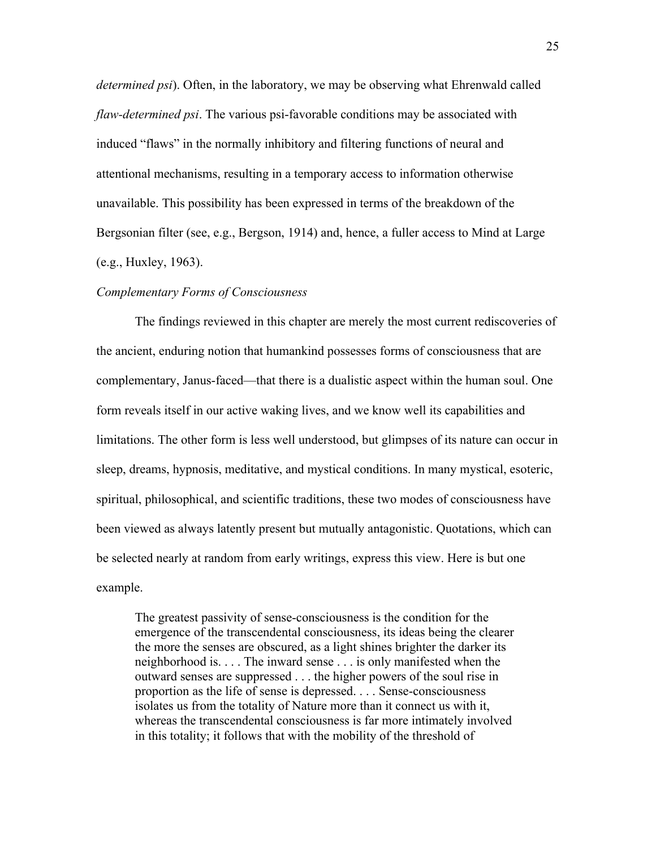*determined psi*). Often, in the laboratory, we may be observing what Ehrenwald called *flaw-determined psi*. The various psi-favorable conditions may be associated with induced "flaws" in the normally inhibitory and filtering functions of neural and attentional mechanisms, resulting in a temporary access to information otherwise unavailable. This possibility has been expressed in terms of the breakdown of the Bergsonian filter (see, e.g., Bergson, 1914) and, hence, a fuller access to Mind at Large (e.g., Huxley, 1963).

## *Complementary Forms of Consciousness*

The findings reviewed in this chapter are merely the most current rediscoveries of the ancient, enduring notion that humankind possesses forms of consciousness that are complementary, Janus-faced—that there is a dualistic aspect within the human soul. One form reveals itself in our active waking lives, and we know well its capabilities and limitations. The other form is less well understood, but glimpses of its nature can occur in sleep, dreams, hypnosis, meditative, and mystical conditions. In many mystical, esoteric, spiritual, philosophical, and scientific traditions, these two modes of consciousness have been viewed as always latently present but mutually antagonistic. Quotations, which can be selected nearly at random from early writings, express this view. Here is but one example.

The greatest passivity of sense-consciousness is the condition for the emergence of the transcendental consciousness, its ideas being the clearer the more the senses are obscured, as a light shines brighter the darker its neighborhood is. . . . The inward sense . . . is only manifested when the outward senses are suppressed . . . the higher powers of the soul rise in proportion as the life of sense is depressed. . . . Sense-consciousness isolates us from the totality of Nature more than it connect us with it, whereas the transcendental consciousness is far more intimately involved in this totality; it follows that with the mobility of the threshold of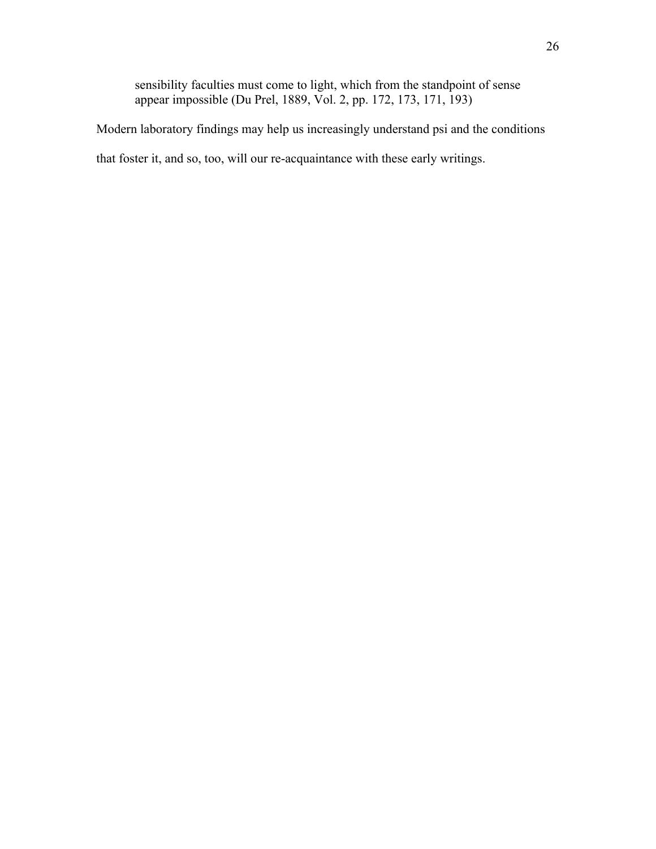sensibility faculties must come to light, which from the standpoint of sense appear impossible (Du Prel, 1889, Vol. 2, pp. 172, 173, 171, 193)

Modern laboratory findings may help us increasingly understand psi and the conditions

that foster it, and so, too, will our re-acquaintance with these early writings.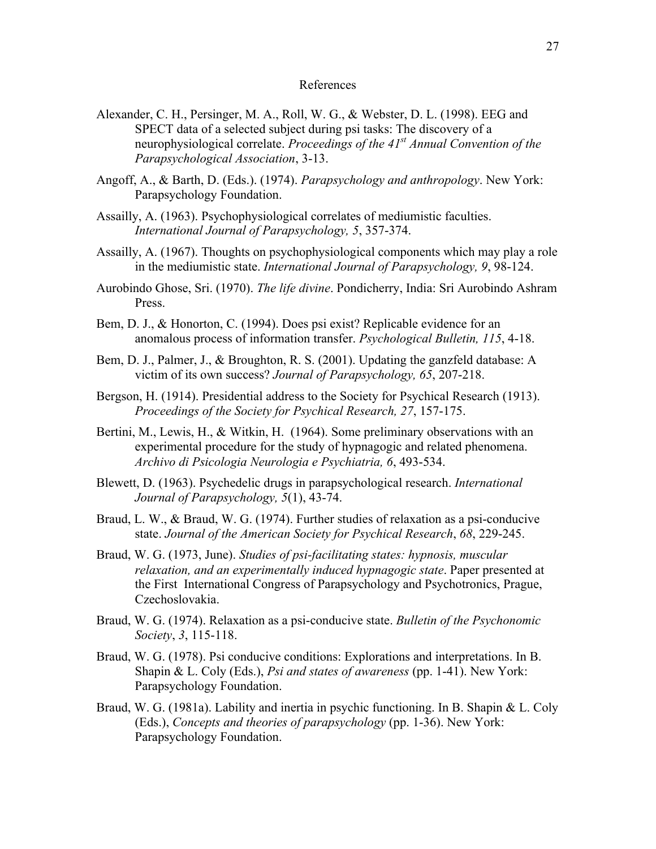## References

- Alexander, C. H., Persinger, M. A., Roll, W. G., & Webster, D. L. (1998). EEG and SPECT data of a selected subject during psi tasks: The discovery of a neurophysiological correlate. *Proceedings of the 41st Annual Convention of the Parapsychological Association*, 3-13.
- Angoff, A., & Barth, D. (Eds.). (1974). *Parapsychology and anthropology*. New York: Parapsychology Foundation.
- Assailly, A. (1963). Psychophysiological correlates of mediumistic faculties. *International Journal of Parapsychology, 5*, 357-374.
- Assailly, A. (1967). Thoughts on psychophysiological components which may play a role in the mediumistic state. *International Journal of Parapsychology, 9*, 98-124.
- Aurobindo Ghose, Sri. (1970). *The life divine*. Pondicherry, India: Sri Aurobindo Ashram Press.
- Bem, D. J., & Honorton, C. (1994). Does psi exist? Replicable evidence for an anomalous process of information transfer. *Psychological Bulletin, 115*, 4-18.
- Bem, D. J., Palmer, J., & Broughton, R. S. (2001). Updating the ganzfeld database: A victim of its own success? *Journal of Parapsychology, 65*, 207-218.
- Bergson, H. (1914). Presidential address to the Society for Psychical Research (1913). *Proceedings of the Society for Psychical Research, 27*, 157-175.
- Bertini, M., Lewis, H., & Witkin, H. (1964). Some preliminary observations with an experimental procedure for the study of hypnagogic and related phenomena. *Archivo di Psicologia Neurologia e Psychiatria, 6*, 493-534.
- Blewett, D. (1963). Psychedelic drugs in parapsychological research. *International Journal of Parapsychology, 5*(1), 43-74.
- Braud, L. W., & Braud, W. G. (1974). Further studies of relaxation as a psi-conducive state. *Journal of the American Society for Psychical Research*, *68*, 229-245.
- Braud, W. G. (1973, June). *Studies of psi-facilitating states: hypnosis, muscular relaxation, and an experimentally induced hypnagogic state*. Paper presented at the First International Congress of Parapsychology and Psychotronics, Prague, Czechoslovakia.
- Braud, W. G. (1974). Relaxation as a psi-conducive state. *Bulletin of the Psychonomic Society*, *3*, 115-118.
- Braud, W. G. (1978). Psi conducive conditions: Explorations and interpretations. In B. Shapin & L. Coly (Eds.), *Psi and states of awareness* (pp. 1-41). New York: Parapsychology Foundation.
- Braud, W. G. (1981a). Lability and inertia in psychic functioning. In B. Shapin & L. Coly (Eds.), *Concepts and theories of parapsychology* (pp. 1-36). New York: Parapsychology Foundation.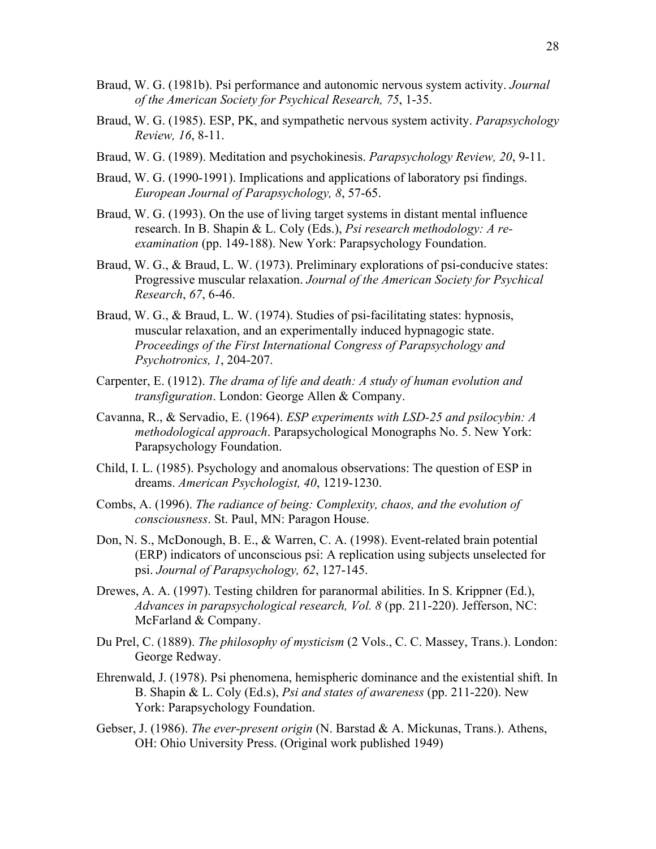- Braud, W. G. (1981b). Psi performance and autonomic nervous system activity. *Journal of the American Society for Psychical Research, 75*, 1-35.
- Braud, W. G. (1985). ESP, PK, and sympathetic nervous system activity. *Parapsychology Review, 16*, 8-11.
- Braud, W. G. (1989). Meditation and psychokinesis. *Parapsychology Review, 20*, 9-11.
- Braud, W. G. (1990-1991). Implications and applications of laboratory psi findings. *European Journal of Parapsychology, 8*, 57-65.
- Braud, W. G. (1993). On the use of living target systems in distant mental influence research. In B. Shapin & L. Coly (Eds.), *Psi research methodology: A reexamination* (pp. 149-188). New York: Parapsychology Foundation.
- Braud, W. G., & Braud, L. W. (1973). Preliminary explorations of psi-conducive states: Progressive muscular relaxation. *Journal of the American Society for Psychical Research*, *67*, 6-46.
- Braud, W. G., & Braud, L. W. (1974). Studies of psi-facilitating states: hypnosis, muscular relaxation, and an experimentally induced hypnagogic state. *Proceedings of the First International Congress of Parapsychology and Psychotronics, 1*, 204-207.
- Carpenter, E. (1912). *The drama of life and death: A study of human evolution and transfiguration*. London: George Allen & Company.
- Cavanna, R., & Servadio, E. (1964). *ESP experiments with LSD-25 and psilocybin: A methodological approach*. Parapsychological Monographs No. 5. New York: Parapsychology Foundation.
- Child, I. L. (1985). Psychology and anomalous observations: The question of ESP in dreams. *American Psychologist, 40*, 1219-1230.
- Combs, A. (1996). *The radiance of being: Complexity, chaos, and the evolution of consciousness*. St. Paul, MN: Paragon House.
- Don, N. S., McDonough, B. E., & Warren, C. A. (1998). Event-related brain potential (ERP) indicators of unconscious psi: A replication using subjects unselected for psi. *Journal of Parapsychology, 62*, 127-145.
- Drewes, A. A. (1997). Testing children for paranormal abilities. In S. Krippner (Ed.), *Advances in parapsychological research, Vol. 8* (pp. 211-220). Jefferson, NC: McFarland & Company.
- Du Prel, C. (1889). *The philosophy of mysticism* (2 Vols., C. C. Massey, Trans.). London: George Redway.
- Ehrenwald, J. (1978). Psi phenomena, hemispheric dominance and the existential shift. In B. Shapin & L. Coly (Ed.s), *Psi and states of awareness* (pp. 211-220). New York: Parapsychology Foundation.
- Gebser, J. (1986). *The ever-present origin* (N. Barstad & A. Mickunas, Trans.). Athens, OH: Ohio University Press. (Original work published 1949)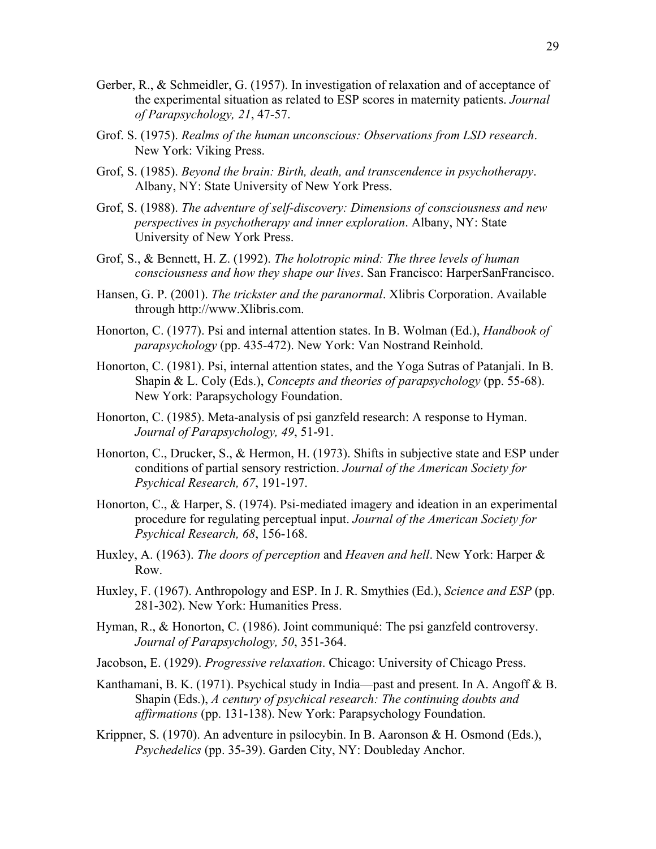- Gerber, R., & Schmeidler, G. (1957). In investigation of relaxation and of acceptance of the experimental situation as related to ESP scores in maternity patients. *Journal of Parapsychology, 21*, 47-57.
- Grof. S. (1975). *Realms of the human unconscious: Observations from LSD research*. New York: Viking Press.
- Grof, S. (1985). *Beyond the brain: Birth, death, and transcendence in psychotherapy*. Albany, NY: State University of New York Press.
- Grof, S. (1988). *The adventure of self-discovery: Dimensions of consciousness and new perspectives in psychotherapy and inner exploration*. Albany, NY: State University of New York Press.
- Grof, S., & Bennett, H. Z. (1992). *The holotropic mind: The three levels of human consciousness and how they shape our lives*. San Francisco: HarperSanFrancisco.
- Hansen, G. P. (2001). *The trickster and the paranormal*. Xlibris Corporation. Available through http://www.Xlibris.com.
- Honorton, C. (1977). Psi and internal attention states. In B. Wolman (Ed.), *Handbook of parapsychology* (pp. 435-472). New York: Van Nostrand Reinhold.
- Honorton, C. (1981). Psi, internal attention states, and the Yoga Sutras of Patanjali. In B. Shapin & L. Coly (Eds.), *Concepts and theories of parapsychology* (pp. 55-68). New York: Parapsychology Foundation.
- Honorton, C. (1985). Meta-analysis of psi ganzfeld research: A response to Hyman. *Journal of Parapsychology, 49*, 51-91.
- Honorton, C., Drucker, S., & Hermon, H. (1973). Shifts in subjective state and ESP under conditions of partial sensory restriction. *Journal of the American Society for Psychical Research, 67*, 191-197.
- Honorton, C., & Harper, S. (1974). Psi-mediated imagery and ideation in an experimental procedure for regulating perceptual input. *Journal of the American Society for Psychical Research, 68*, 156-168.
- Huxley, A. (1963). *The doors of perception* and *Heaven and hell*. New York: Harper & Row.
- Huxley, F. (1967). Anthropology and ESP. In J. R. Smythies (Ed.), *Science and ESP* (pp. 281-302). New York: Humanities Press.
- Hyman, R., & Honorton, C. (1986). Joint communiqué: The psi ganzfeld controversy. *Journal of Parapsychology, 50*, 351-364.
- Jacobson, E. (1929). *Progressive relaxation*. Chicago: University of Chicago Press.
- Kanthamani, B. K. (1971). Psychical study in India—past and present. In A. Angoff & B. Shapin (Eds.), *A century of psychical research: The continuing doubts and affirmations* (pp. 131-138). New York: Parapsychology Foundation.
- Krippner, S. (1970). An adventure in psilocybin. In B. Aaronson & H. Osmond (Eds.), *Psychedelics* (pp. 35-39). Garden City, NY: Doubleday Anchor.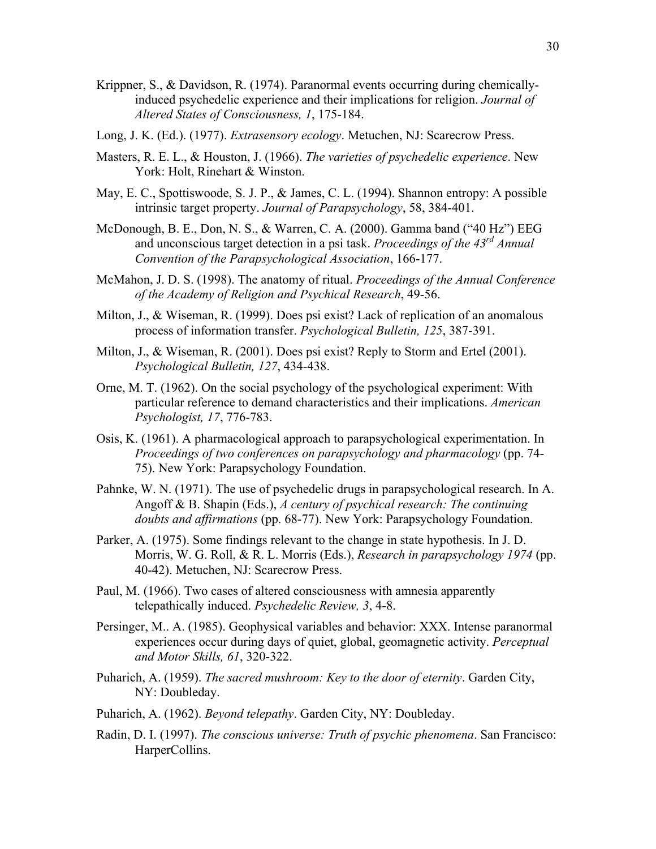- Krippner, S., & Davidson, R. (1974). Paranormal events occurring during chemicallyinduced psychedelic experience and their implications for religion. *Journal of Altered States of Consciousness, 1*, 175-184.
- Long, J. K. (Ed.). (1977). *Extrasensory ecology*. Metuchen, NJ: Scarecrow Press.
- Masters, R. E. L., & Houston, J. (1966). *The varieties of psychedelic experience*. New York: Holt, Rinehart & Winston.
- May, E. C., Spottiswoode, S. J. P., & James, C. L. (1994). Shannon entropy: A possible intrinsic target property. *Journal of Parapsychology*, 58, 384-401.
- McDonough, B. E., Don, N. S., & Warren, C. A. (2000). Gamma band ("40 Hz") EEG and unconscious target detection in a psi task. *Proceedings of the 43rd Annual Convention of the Parapsychological Association*, 166-177.
- McMahon, J. D. S. (1998). The anatomy of ritual. *Proceedings of the Annual Conference of the Academy of Religion and Psychical Research*, 49-56.
- Milton, J., & Wiseman, R. (1999). Does psi exist? Lack of replication of an anomalous process of information transfer. *Psychological Bulletin, 125*, 387-391.
- Milton, J., & Wiseman, R. (2001). Does psi exist? Reply to Storm and Ertel (2001). *Psychological Bulletin, 127*, 434-438.
- Orne, M. T. (1962). On the social psychology of the psychological experiment: With particular reference to demand characteristics and their implications. *American Psychologist, 17*, 776-783.
- Osis, K. (1961). A pharmacological approach to parapsychological experimentation. In *Proceedings of two conferences on parapsychology and pharmacology* (pp. 74- 75). New York: Parapsychology Foundation.
- Pahnke, W. N. (1971). The use of psychedelic drugs in parapsychological research. In A. Angoff & B. Shapin (Eds.), *A century of psychical research: The continuing doubts and affirmations* (pp. 68-77). New York: Parapsychology Foundation.
- Parker, A. (1975). Some findings relevant to the change in state hypothesis. In J. D. Morris, W. G. Roll, & R. L. Morris (Eds.), *Research in parapsychology 1974* (pp. 40-42). Metuchen, NJ: Scarecrow Press.
- Paul, M. (1966). Two cases of altered consciousness with amnesia apparently telepathically induced. *Psychedelic Review, 3*, 4-8.
- Persinger, M.. A. (1985). Geophysical variables and behavior: XXX. Intense paranormal experiences occur during days of quiet, global, geomagnetic activity. *Perceptual and Motor Skills, 61*, 320-322.
- Puharich, A. (1959). *The sacred mushroom: Key to the door of eternity*. Garden City, NY: Doubleday.
- Puharich, A. (1962). *Beyond telepathy*. Garden City, NY: Doubleday.
- Radin, D. I. (1997). *The conscious universe: Truth of psychic phenomena*. San Francisco: HarperCollins.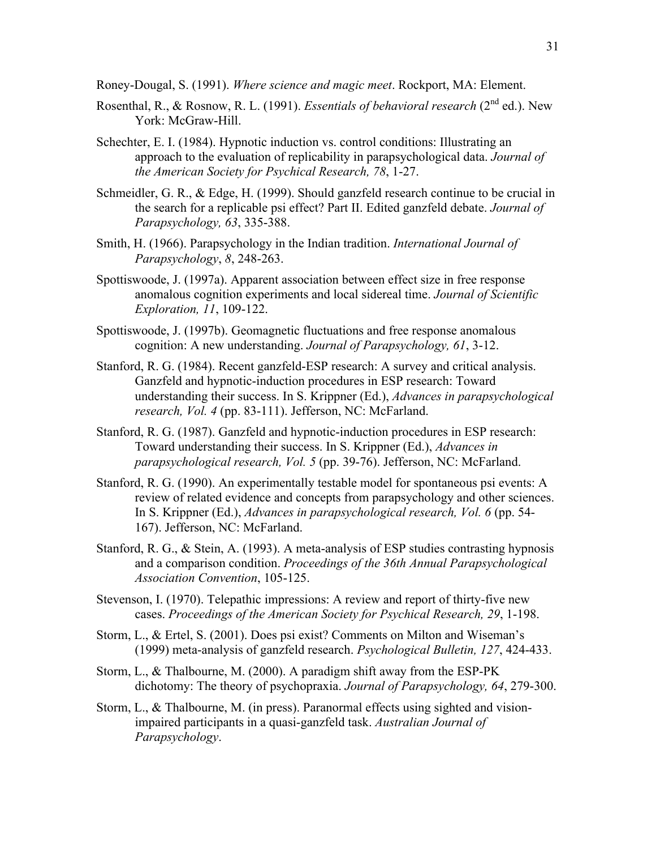Roney-Dougal, S. (1991). *Where science and magic meet*. Rockport, MA: Element.

- Rosenthal, R., & Rosnow, R. L. (1991). *Essentials of behavioral research* (2nd ed.). New York: McGraw-Hill.
- Schechter, E. I. (1984). Hypnotic induction vs. control conditions: Illustrating an approach to the evaluation of replicability in parapsychological data. *Journal of the American Society for Psychical Research, 78*, 1-27.
- Schmeidler, G. R., & Edge, H. (1999). Should ganzfeld research continue to be crucial in the search for a replicable psi effect? Part II. Edited ganzfeld debate. *Journal of Parapsychology, 63*, 335-388.
- Smith, H. (1966). Parapsychology in the Indian tradition. *International Journal of Parapsychology*, *8*, 248-263.
- Spottiswoode, J. (1997a). Apparent association between effect size in free response anomalous cognition experiments and local sidereal time. *Journal of Scientific Exploration, 11*, 109-122.
- Spottiswoode, J. (1997b). Geomagnetic fluctuations and free response anomalous cognition: A new understanding. *Journal of Parapsychology, 61*, 3-12.
- Stanford, R. G. (1984). Recent ganzfeld-ESP research: A survey and critical analysis. Ganzfeld and hypnotic-induction procedures in ESP research: Toward understanding their success. In S. Krippner (Ed.), *Advances in parapsychological research, Vol. 4* (pp. 83-111). Jefferson, NC: McFarland.
- Stanford, R. G. (1987). Ganzfeld and hypnotic-induction procedures in ESP research: Toward understanding their success. In S. Krippner (Ed.), *Advances in parapsychological research, Vol. 5* (pp. 39-76). Jefferson, NC: McFarland.
- Stanford, R. G. (1990). An experimentally testable model for spontaneous psi events: A review of related evidence and concepts from parapsychology and other sciences. In S. Krippner (Ed.), *Advances in parapsychological research, Vol. 6* (pp. 54- 167). Jefferson, NC: McFarland.
- Stanford, R. G., & Stein, A. (1993). A meta-analysis of ESP studies contrasting hypnosis and a comparison condition. *Proceedings of the 36th Annual Parapsychological Association Convention*, 105-125.
- Stevenson, I. (1970). Telepathic impressions: A review and report of thirty-five new cases. *Proceedings of the American Society for Psychical Research, 29*, 1-198.
- Storm, L., & Ertel, S. (2001). Does psi exist? Comments on Milton and Wiseman's (1999) meta-analysis of ganzfeld research. *Psychological Bulletin, 127*, 424-433.
- Storm, L., & Thalbourne, M. (2000). A paradigm shift away from the ESP-PK dichotomy: The theory of psychopraxia. *Journal of Parapsychology, 64*, 279-300.
- Storm, L., & Thalbourne, M. (in press). Paranormal effects using sighted and visionimpaired participants in a quasi-ganzfeld task. *Australian Journal of Parapsychology*.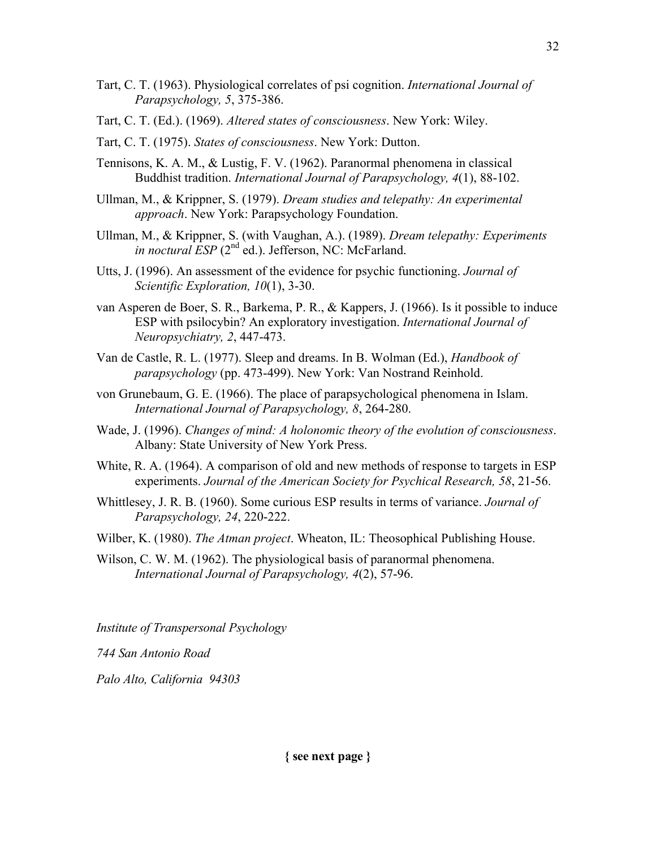- Tart, C. T. (1963). Physiological correlates of psi cognition. *International Journal of Parapsychology, 5*, 375-386.
- Tart, C. T. (Ed.). (1969). *Altered states of consciousness*. New York: Wiley.
- Tart, C. T. (1975). *States of consciousness*. New York: Dutton.
- Tennisons, K. A. M., & Lustig, F. V. (1962). Paranormal phenomena in classical Buddhist tradition. *International Journal of Parapsychology, 4*(1), 88-102.
- Ullman, M., & Krippner, S. (1979). *Dream studies and telepathy: An experimental approach*. New York: Parapsychology Foundation.
- Ullman, M., & Krippner, S. (with Vaughan, A.). (1989). *Dream telepathy: Experiments in noctural ESP* (2<sup>nd</sup> ed.). Jefferson, NC: McFarland.
- Utts, J. (1996). An assessment of the evidence for psychic functioning. *Journal of Scientific Exploration, 10*(1), 3-30.
- van Asperen de Boer, S. R., Barkema, P. R., & Kappers, J. (1966). Is it possible to induce ESP with psilocybin? An exploratory investigation. *International Journal of Neuropsychiatry, 2*, 447-473.
- Van de Castle, R. L. (1977). Sleep and dreams. In B. Wolman (Ed.), *Handbook of parapsychology* (pp. 473-499). New York: Van Nostrand Reinhold.
- von Grunebaum, G. E. (1966). The place of parapsychological phenomena in Islam. *International Journal of Parapsychology, 8*, 264-280.
- Wade, J. (1996). *Changes of mind: A holonomic theory of the evolution of consciousness*. Albany: State University of New York Press.
- White, R. A. (1964). A comparison of old and new methods of response to targets in ESP experiments. *Journal of the American Society for Psychical Research, 58*, 21-56.
- Whittlesey, J. R. B. (1960). Some curious ESP results in terms of variance. *Journal of Parapsychology, 24*, 220-222.
- Wilber, K. (1980). *The Atman project*. Wheaton, IL: Theosophical Publishing House.
- Wilson, C. W. M. (1962). The physiological basis of paranormal phenomena. *International Journal of Parapsychology, 4*(2), 57-96.

*Institute of Transpersonal Psychology*

*744 San Antonio Road*

*Palo Alto, California 94303*